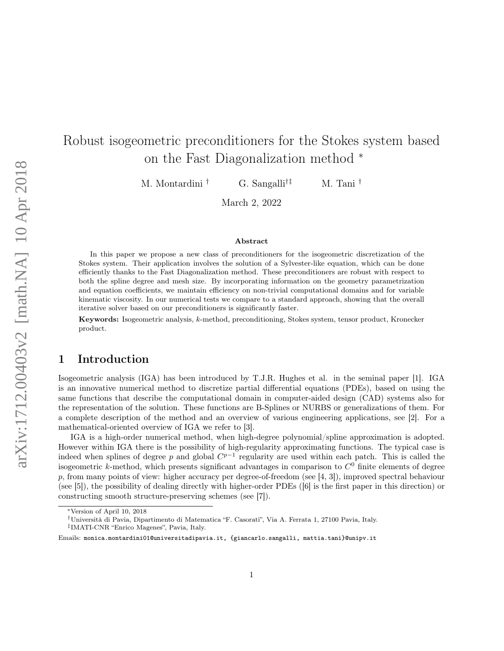# Robust isogeometric preconditioners for the Stokes system based on the Fast Diagonalization method <sup>∗</sup>

M. Montardini † G. Sangalli†‡ M. Tani †

March 2, 2022

#### Abstract

In this paper we propose a new class of preconditioners for the isogeometric discretization of the Stokes system. Their application involves the solution of a Sylvester-like equation, which can be done efficiently thanks to the Fast Diagonalization method. These preconditioners are robust with respect to both the spline degree and mesh size. By incorporating information on the geometry parametrization and equation coefficients, we maintain efficiency on non-trivial computational domains and for variable kinematic viscosity. In our numerical tests we compare to a standard approach, showing that the overall iterative solver based on our preconditioners is significantly faster.

Keywords: Isogeometric analysis, k-method, preconditioning, Stokes system, tensor product, Kronecker product.

# 1 Introduction

Isogeometric analysis (IGA) has been introduced by T.J.R. Hughes et al. in the seminal paper [1]. IGA is an innovative numerical method to discretize partial differential equations (PDEs), based on using the same functions that describe the computational domain in computer-aided design (CAD) systems also for the representation of the solution. These functions are B-Splines or NURBS or generalizations of them. For a complete description of the method and an overview of various engineering applications, see [2]. For a mathematical-oriented overview of IGA we refer to [3].

IGA is a high-order numerical method, when high-degree polynomial/spline approximation is adopted. However within IGA there is the possibility of high-regularity approximating functions. The typical case is indeed when splines of degree p and global  $C^{p-1}$  regularity are used within each patch. This is called the isogeometric k-method, which presents significant advantages in comparison to  $C<sup>0</sup>$  finite elements of degree p, from many points of view: higher accuracy per degree-of-freedom (see [4, 3]), improved spectral behaviour (see [5]), the possibility of dealing directly with higher-order PDEs ([6] is the first paper in this direction) or constructing smooth structure-preserving schemes (see [7]).

<sup>∗</sup>Version of April 10, 2018

<sup>†</sup>Università di Pavia, Dipartimento di Matematica "F. Casorati", Via A. Ferrata 1, 27100 Pavia, Italy.

<sup>‡</sup> IMATI-CNR "Enrico Magenes", Pavia, Italy.

Emails: monica.montardini01@universitadipavia.it, {giancarlo.sangalli, mattia.tani}@unipv.it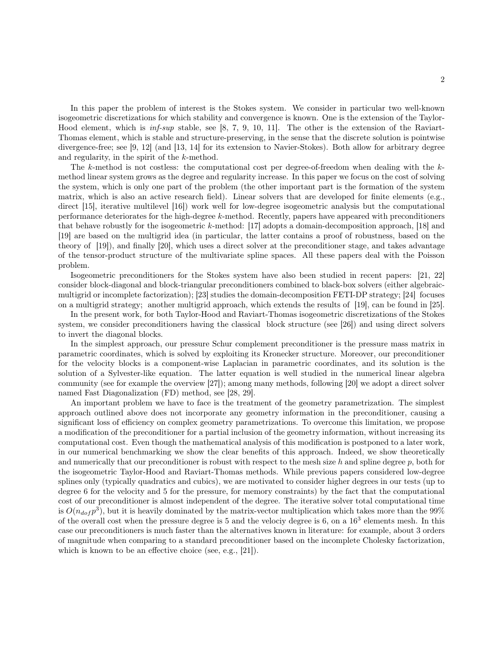In this paper the problem of interest is the Stokes system. We consider in particular two well-known isogeometric discretizations for which stability and convergence is known. One is the extension of the Taylor-Hood element, which is  $\inf\text{-}sup$  stable, see [8, 7, 9, 10, 11]. The other is the extension of the Raviart-Thomas element, which is stable and structure-preserving, in the sense that the discrete solution is pointwise divergence-free; see [9, 12] (and [13, 14] for its extension to Navier-Stokes). Both allow for arbitrary degree and regularity, in the spirit of the k-method.

The k-method is not costless: the computational cost per degree-of-freedom when dealing with the  $k$ method linear system grows as the degree and regularity increase. In this paper we focus on the cost of solving the system, which is only one part of the problem (the other important part is the formation of the system matrix, which is also an active research field). Linear solvers that are developed for finite elements (e.g., direct [15], iterative multilevel [16]) work well for low-degree isogeometric analysis but the computational performance deteriorates for the high-degree k-method. Recently, papers have appeared with preconditioners that behave robustly for the isogeometric k-method: [17] adopts a domain-decomposition approach, [18] and [19] are based on the multigrid idea (in particular, the latter contains a proof of robustness, based on the theory of [19]), and finally [20], which uses a direct solver at the preconditioner stage, and takes advantage of the tensor-product structure of the multivariate spline spaces. All these papers deal with the Poisson problem.

Isogeometric preconditioners for the Stokes system have also been studied in recent papers: [21, 22] consider block-diagonal and block-triangular preconditioners combined to black-box solvers (either algebraicmultigrid or incomplete factorization); [23] studies the domain-decomposition FETI-DP strategy; [24] focuses on a multigrid strategy; another multigrid approach, which extends the results of [19], can be found in [25].

In the present work, for both Taylor-Hood and Raviart-Thomas isogeometric discretizations of the Stokes system, we consider preconditioners having the classical block structure (see [26]) and using direct solvers to invert the diagonal blocks.

In the simplest approach, our pressure Schur complement preconditioner is the pressure mass matrix in parametric coordinates, which is solved by exploiting its Kronecker structure. Moreover, our preconditioner for the velocity blocks is a component-wise Laplacian in parametric coordinates, and its solution is the solution of a Sylvester-like equation. The latter equation is well studied in the numerical linear algebra community (see for example the overview [27]); among many methods, following [20] we adopt a direct solver named Fast Diagonalization (FD) method, see [28, 29].

An important problem we have to face is the treatment of the geometry parametrization. The simplest approach outlined above does not incorporate any geometry information in the preconditioner, causing a significant loss of efficiency on complex geometry parametrizations. To overcome this limitation, we propose a modification of the preconditioner for a partial inclusion of the geometry information, without increasing its computational cost. Even though the mathematical analysis of this modification is postponed to a later work, in our numerical benchmarking we show the clear benefits of this approach. Indeed, we show theoretically and numerically that our preconditioner is robust with respect to the mesh size h and spline degree p, both for the isogeometric Taylor-Hood and Raviart-Thomas methods. While previous papers considered low-degree splines only (typically quadratics and cubics), we are motivated to consider higher degrees in our tests (up to degree 6 for the velocity and 5 for the pressure, for memory constraints) by the fact that the computational cost of our preconditioner is almost independent of the degree. The iterative solver total computational time is  $O(n_{dof} p^3)$ , but it is heavily dominated by the matrix-vector multiplication which takes more than the 99% of the overall cost when the pressure degree is 5 and the velociy degree is 6, on a  $16<sup>3</sup>$  elements mesh. In this case our preconditioners is much faster than the alternatives known in literature: for example, about 3 orders of magnitude when comparing to a standard preconditioner based on the incomplete Cholesky factorization, which is known to be an effective choice (see, e.g., [21]).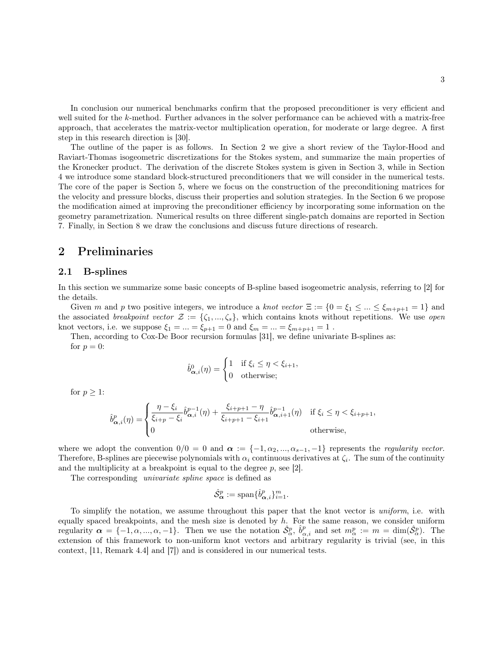In conclusion our numerical benchmarks confirm that the proposed preconditioner is very efficient and well suited for the k-method. Further advances in the solver performance can be achieved with a matrix-free approach, that accelerates the matrix-vector multiplication operation, for moderate or large degree. A first step in this research direction is [30].

The outline of the paper is as follows. In Section 2 we give a short review of the Taylor-Hood and Raviart-Thomas isogeometric discretizations for the Stokes system, and summarize the main properties of the Kronecker product. The derivation of the discrete Stokes system is given in Section 3, while in Section 4 we introduce some standard block-structured preconditioners that we will consider in the numerical tests. The core of the paper is Section 5, where we focus on the construction of the preconditioning matrices for the velocity and pressure blocks, discuss their properties and solution strategies. In the Section 6 we propose the modification aimed at improving the preconditioner efficiency by incorporating some information on the geometry parametrization. Numerical results on three different single-patch domains are reported in Section 7. Finally, in Section 8 we draw the conclusions and discuss future directions of research.

### 2 Preliminaries

#### 2.1 B-splines

In this section we summarize some basic concepts of B-spline based isogeometric analysis, referring to [2] for the details.

Given m and p two positive integers, we introduce a knot vector  $\Xi := \{0 = \xi_1 \leq ... \leq \xi_{m+p+1} = 1\}$  and the associated *breakpoint vector*  $\mathcal{Z} := \{\zeta_1, ..., \zeta_s\}$ , which contains knots without repetitions. We use *open* knot vectors, i.e. we suppose  $\xi_1 = ... = \xi_{p+1} = 0$  and  $\xi_m = ... = \xi_{m+p+1} = 1$ .

Then, according to Cox-De Boor recursion formulas [31], we define univariate B-splines as: for  $p = 0$ :

$$
\hat{b}^0_{\boldsymbol{\alpha},i}(\eta) = \begin{cases} 1 & \text{if } \xi_i \leq \eta < \xi_{i+1}, \\ 0 & \text{otherwise}; \end{cases}
$$

for  $p \geq 1$ :

$$
\hat{b}^{p}_{\alpha,i}(\eta) = \begin{cases}\n\frac{\eta - \xi_i}{\xi_{i+p} - \xi_i} \hat{b}^{p-1}_{\alpha,i}(\eta) + \frac{\xi_{i+p+1} - \eta}{\xi_{i+p+1} - \xi_{i+1}} \hat{b}^{p-1}_{\alpha,i+1}(\eta) & \text{if } \xi_i \le \eta < \xi_{i+p+1}, \\
0 & \text{otherwise},\n\end{cases}
$$

where we adopt the convention  $0/0 = 0$  and  $\alpha := \{-1, \alpha_2, ..., \alpha_{s-1}, -1\}$  represents the *regularity vector.* Therefore, B-splines are piecewise polynomials with  $\alpha_i$  continuous derivatives at  $\zeta_i$ . The sum of the continuity and the multiplicity at a breakpoint is equal to the degree  $p$ , see [2].

The corresponding univariate spline space is defined as

$$
\hat{\mathcal{S}}^p_{\alpha} := \text{span}\{\hat{b}^p_{\alpha,i}\}_{i=1}^m.
$$

To simplify the notation, we assume throughout this paper that the knot vector is uniform, i.e. with equally spaced breakpoints, and the mesh size is denoted by  $h$ . For the same reason, we consider uniform regularity  $\alpha = \{-1, \alpha, ..., \alpha, -1\}$ . Then we use the notation  $\hat{S}_{\alpha}^p$ ,  $\hat{b}_{\alpha,i}^p$  and set  $m_{\alpha}^p := m = \dim(\hat{S}_{\alpha}^p)$ . The extension of this framework to non-uniform knot vectors and arbitrary regularity is trivial (see, in this context, [11, Remark 4.4] and [7]) and is considered in our numerical tests.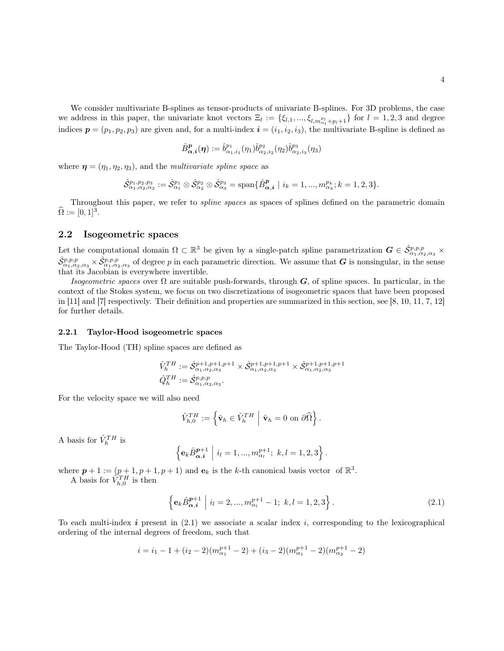We consider multivariate B-splines as tensor-products of univariate B-splines. For 3D problems, the case we address in this paper, the univariate knot vectors  $\Xi_l := \{\xi_{l,1},...,\xi_{l,m}^{p_l}_{\alpha_l+p_l+1}\}$  for  $l = 1,2,3$  and degree indices  $p = (p_1, p_2, p_3)$  are given and, for a multi-index  $\mathbf{i} = (i_1, i_2, i_3)$ , the multivariate B-spline is defined as

$$
\hat{B}^{\bm{p}}_{\bm{\alpha},\bm{i}}(\bm{\eta}):=\hat{b}^{p_1}_{\alpha_1,i_1}(\eta_1)\hat{b}^{p_2}_{\alpha_2,i_2}(\eta_2)\hat{b}^{p_3}_{\alpha_2,i_3}(\eta_3)
$$

where  $\boldsymbol{\eta} = (\eta_1, \eta_2, \eta_3)$ , and the *multivariate spline space* as

$$
\hat{\mathcal{S}}^{p_1,p_2,p_3}_{\alpha_1,\alpha_2,\alpha_3}:=\hat{\mathcal{S}}^{p_1}_{\alpha_1}\otimes \hat{\mathcal{S}}^{p_2}_{\alpha_2}\otimes \hat{\mathcal{S}}^{p_3}_{\alpha_3}=\text{span}\{\hat{B}^{\bm{p}}_{\bm{\alpha},\bm{i}}\mid i_k=1,...,m^{p_k}_{\alpha_k};k=1,2,3\}.
$$

Throughout this paper, we refer to spline spaces as spaces of splines defined on the parametric domain  $\widehat{\Omega} := [0, 1]^3.$ 

### 2.2 Isogeometric spaces

Let the computational domain  $\Omega \subset \mathbb{R}^3$  be given by a single-patch spline parametrization  $G \in \hat{\mathcal{S}}_{\alpha_1,\alpha_2,\alpha_3}^{p,p,p}$  $\hat{S}_{\alpha_1,\alpha_2,\alpha_3}^{p,p,p} \times \hat{S}_{\alpha_1,\alpha_2,\alpha_3}^{p,p,p}$  of degree p in each parametric direction. We assume that G is nonsingular, in the sense that its Jacobian is everywhere invertible.

Isogeometric spaces over  $\Omega$  are suitable push-forwards, through G, of spline spaces. In particular, in the context of the Stokes system, we focus on two discretizations of isogeometric spaces that have been proposed in [11] and [7] respectively. Their definition and properties are summarized in this section, see [8, 10, 11, 7, 12] for further details.

#### 2.2.1 Taylor-Hood isogeometric spaces

The Taylor-Hood (TH) spline spaces are defined as

$$
\hat{V}_h^{TH} := \hat{\mathcal{S}}_{\alpha_1, \alpha_2, \alpha_3}^{p+1, p+1, p+1} \times \hat{\mathcal{S}}_{\alpha_1, \alpha_2, \alpha_3}^{p+1, p+1, p+1} \times \hat{\mathcal{S}}_{\alpha_1, \alpha_2, \alpha_3}^{p+1, p+1, p+1}
$$
  

$$
\hat{Q}_h^{TH} := \hat{\mathcal{S}}_{\alpha_1, \alpha_2, \alpha_3}^{p, p, p}.
$$

For the velocity space we will also need

$$
\hat{V}_{h,0}^{TH} := \left\{ \hat{\mathbf{v}}_h \in \hat{V}_h^{TH} \mid \hat{\mathbf{v}}_h = 0 \text{ on } \partial \hat{\Omega} \right\}.
$$

A basis for  $\hat{V}_h^{TH}$  is

$$
\left\{ \mathbf{e}_{k} \hat{B}_{\alpha,i}^{p+1} \middle| i_{l} = 1, ..., m_{\alpha_{l}}^{p+1}; k, l = 1, 2, 3 \right\}.
$$

where  $p + 1 := (p + 1, p + 1, p + 1)$  and  $e_k$  is the k-th canonical basis vector of  $\mathbb{R}^3$ .

A basis for  $\hat{V}_{h,0}^{TH}$  is then

$$
\left\{ \mathbf{e}_{k} \hat{B}_{\alpha,i}^{p+1} \middle| i_{l} = 2, ..., m_{\alpha_{l}}^{p+1} - 1; k, l = 1, 2, 3 \right\}.
$$
\n(2.1)

To each multi-index i present in  $(2.1)$  we associate a scalar index i, corresponding to the lexicographical ordering of the internal degrees of freedom, such that

$$
i = i_1 - 1 + (i_2 - 2)(m_{\alpha_1}^{p+1} - 2) + (i_3 - 2)(m_{\alpha_1}^{p+1} - 2)(m_{\alpha_2}^{p+1} - 2)
$$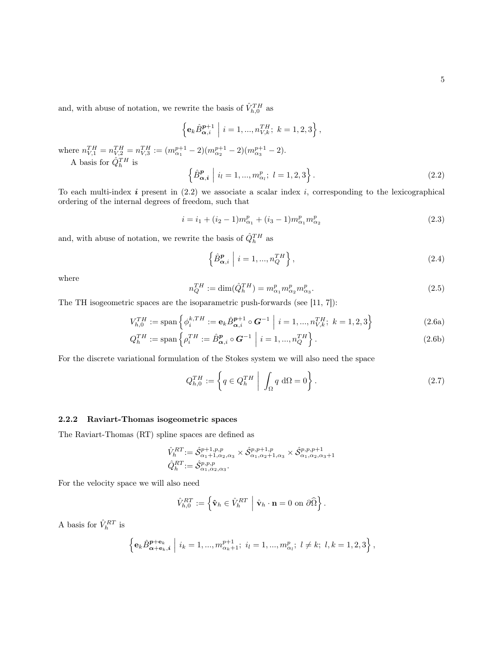and, with abuse of notation, we rewrite the basis of  $\hat{V}_{h,0}^{TH}$  as

$$
\left\{ \mathbf{e}_{k} \hat{B}_{\alpha,i}^{p+1} \middle| i = 1, ..., n_{V,k}^{TH}; k = 1, 2, 3 \right\},
$$
\nwhere  $n_{V,1}^{TH} = n_{V,2}^{TH} = n_{V,3}^{TH} := (m_{\alpha_1}^{p+1} - 2)(m_{\alpha_2}^{p+1} - 2)(m_{\alpha_3}^{p+1} - 2).$   
\nA basis for  $\hat{Q}_{h}^{TH}$  is\n
$$
\left\{ \hat{B}_{\alpha,i}^{p} \middle| i_{l} = 1, ..., m_{\alpha_{l}}^{p}; l = 1, 2, 3 \right\}.
$$
\n(2.2)

To each multi-index  $i$  present in (2.2) we associate a scalar index  $i$ , corresponding to the lexicographical ordering of the internal degrees of freedom, such that

$$
i = i_1 + (i_2 - 1)m_{\alpha_1}^p + (i_3 - 1)m_{\alpha_1}^p m_{\alpha_2}^p
$$
\n(2.3)

and, with abuse of notation, we rewrite the basis of  $\hat{Q}_{h}^{TH}$  as

$$
\left\{\hat{B}_{\alpha,i}^p \middle| i=1,...,n_Q^{TH}\right\},\tag{2.4}
$$

where

$$
n_Q^{TH} := \dim(\hat{Q}_h^{TH}) = m_{\alpha_1}^p m_{\alpha_2}^p m_{\alpha_3}^p.
$$
\n(2.5)

The TH isogeometric spaces are the isoparametric push-forwards (see [11, 7]):

$$
V_{h,0}^{TH} := \text{span}\left\{\phi_i^{k,TH} := \mathbf{e}_k \hat{B}_{\alpha,i}^{p+1} \circ \mathbf{G}^{-1} \middle| i = 1, ..., n_{V,k}^{TH}; k = 1,2,3\right\}
$$
(2.6a)

$$
Q_h^{TH} := \text{span}\left\{ \rho_i^{TH} := \hat{B}_{\alpha,i}^p \circ \mathbf{G}^{-1} \middle| i = 1, ..., n_Q^{TH} \right\}.
$$
 (2.6b)

For the discrete variational formulation of the Stokes system we will also need the space

$$
Q_{h,0}^{TH} := \left\{ q \in Q_h^{TH} \mid \int_{\Omega} q \, d\Omega = 0 \right\}.
$$
 (2.7)

### 2.2.2 Raviart-Thomas isogeometric spaces

The Raviart-Thomas (RT) spline spaces are defined as

$$
\hat{V}_h^{RT} := \hat{\mathcal{S}}_{\alpha_1+1,\alpha_2,\alpha_3}^{p+1,p,p} \times \hat{\mathcal{S}}_{\alpha_1,\alpha_2+1,\alpha_3}^{p,p+1,p} \times \hat{\mathcal{S}}_{\alpha_1,\alpha_2,\alpha_3+1}^{p,p,p+1}
$$
  

$$
\hat{Q}_h^{RT} := \hat{\mathcal{S}}_{\alpha_1,\alpha_2,\alpha_3}^{p,p,p}.
$$

For the velocity space we will also need

$$
\hat{V}_{h,0}^{RT} := \left\{ \hat{\mathbf{v}}_h \in \hat{V}_h^{RT} \mid \hat{\mathbf{v}}_h \cdot \mathbf{n} = 0 \text{ on } \partial \hat{\Omega} \right\}.
$$

A basis for  $\hat{V}_h^{RT}$  is

$$
\left\{ \mathbf{e}_{k} \hat{B}_{\alpha+\mathbf{e}_{k},i}^{p+\mathbf{e}_{k}} \; \Big| \; i_{k} = 1,...,m_{\alpha_{k}+1}^{p+1}; \; i_{l} = 1,...,m_{\alpha_{l}}^{p}; \; l \neq k; \; l, k = 1,2,3 \right\},\;
$$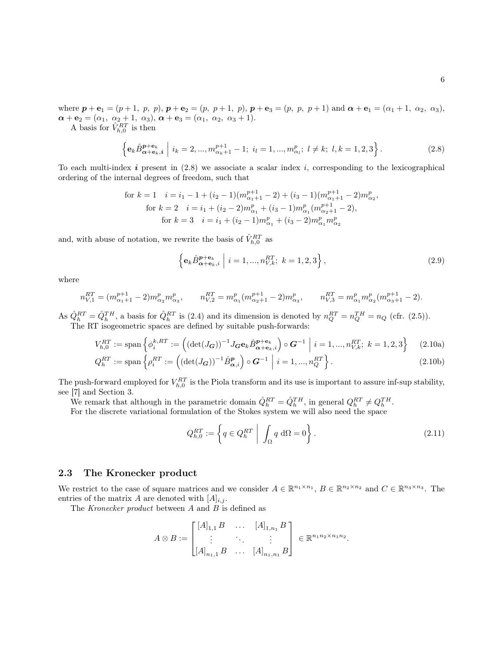where  $p + e_1 = (p + 1, p, p), p + e_2 = (p, p + 1, p), p + e_3 = (p, p, p + 1)$  and  $\alpha + e_1 = (\alpha_1 + 1, \alpha_2, \alpha_3)$ ,  $\alpha + e_2 = (\alpha_1, \alpha_2 + 1, \alpha_3), \alpha + e_3 = (\alpha_1, \alpha_2, \alpha_3 + 1).$ 

A basis for  $\hat{V}_{h,0}^{RT}$  is then

$$
\left\{ \mathbf{e}_{k} \hat{B}_{\alpha + \mathbf{e}_{k}, i}^{p + \mathbf{e}_{k}} \; \middle| \; i_{k} = 2, ..., m_{\alpha_{k}+1}^{p+1} - 1; \; i_{l} = 1, ..., m_{\alpha_{l}}^{p}; \; l \neq k; \; l, k = 1, 2, 3 \right\}.
$$

To each multi-index  $i$  present in (2.8) we associate a scalar index  $i$ , corresponding to the lexicographical ordering of the internal degrees of freedom, such that

for 
$$
k = 1
$$
  $i = i_1 - 1 + (i_2 - 1)(m_{\alpha_1+1}^{p+1} - 2) + (i_3 - 1)(m_{\alpha_1+1}^{p+1} - 2)m_{\alpha_2}^p$ ,  
for  $k = 2$   $i = i_1 + (i_2 - 2)m_{\alpha_1}^p + (i_3 - 1)m_{\alpha_1}^p(m_{\alpha_2+1}^{p+1} - 2)$ ,  
for  $k = 3$   $i = i_1 + (i_2 - 1)m_{\alpha_1}^p + (i_3 - 2)m_{\alpha_1}^p m_{\alpha_2}^p$ 

and, with abuse of notation, we rewrite the basis of  $\hat{V}_{h,0}^{RT}$  as

$$
\left\{ \mathbf{e}_{k} \hat{B}_{\alpha + \mathbf{e}_{k}, i}^{p + \mathbf{e}_{k}} \; \middle| \; i = 1, ..., n_{V, k}^{RT}; \; k = 1, 2, 3 \right\},\tag{2.9}
$$

where

$$
n_{V,1}^{RT} = (m_{\alpha_1+1}^{p+1} - 2)m_{\alpha_2}^p m_{\alpha_3}^p, \qquad n_{V,2}^{RT} = m_{\alpha_1}^p (m_{\alpha_2+1}^{p+1} - 2)m_{\alpha_3}^p, \qquad n_{V,3}^{RT} = m_{\alpha_1}^p m_{\alpha_2}^p (m_{\alpha_3+1}^{p+1} - 2).
$$

As  $\hat{Q}_h^{RT} = \hat{Q}_h^{TH}$ , a basis for  $\hat{Q}_h^{RT}$  is (2.4) and its dimension is denoted by  $n_Q^{RT} = n_Q^{TH} = n_Q$  (cfr. (2.5)). The RT isogeometric spaces are defined by suitable push-forwards:

$$
V_{h,0}^{RT} := \text{span}\left\{\phi_i^{k,RT} := \left( (\det(J_G))^{-1} J_G \mathbf{e}_k \hat{B}_{\alpha + \mathbf{e}_k, i}^{p + \mathbf{e}_k}\right) \circ G^{-1} \middle| i = 1, ..., n_{V,k}^{RT}; k = 1, 2, 3 \right\} \tag{2.10a}
$$

$$
Q_h^{RT} := \text{span}\left\{\rho_i^{RT} := \left( \left(\det(J_{\mathbf{G}})\right)^{-1} \hat{B}_{\alpha,i}^p \right) \circ \mathbf{G}^{-1} \middle| i = 1, ..., n_Q^{RT} \right\}.
$$
\n(2.10b)

The push-forward employed for  $V_{h,0}^{RT}$  is the Piola transform and its use is important to assure inf-sup stability, see [7] and Section 3.

We remark that although in the parametric domain  $\hat{Q}_h^{RT} = \hat{Q}_h^{TH}$ , in general  $Q_h^{RT} \neq Q_h^{TH}$ .

For the discrete variational formulation of the Stokes system we will also need the space

$$
Q_{h,0}^{RT} := \left\{ q \in Q_h^{RT} \mid \int_{\Omega} q \, d\Omega = 0 \right\}.
$$
\n(2.11)

#### 2.3 The Kronecker product

We restrict to the case of square matrices and we consider  $A \in \mathbb{R}^{n_1 \times n_1}$ ,  $B \in \mathbb{R}^{n_2 \times n_2}$  and  $C \in \mathbb{R}^{n_3 \times n_3}$ . The entries of the matrix A are denoted with  $[A]_{i,j}$ .

The Kronecker product between  $A$  and  $B$  is defined as

$$
A \otimes B := \begin{bmatrix} [A]_{1,1} B & \dots & [A]_{1,n_1} B \\ \vdots & \ddots & \vdots \\ [A]_{n_1,1} B & \dots & [A]_{n_1,n_1} B \end{bmatrix} \in \mathbb{R}^{n_1 n_2 \times n_1 n_2}.
$$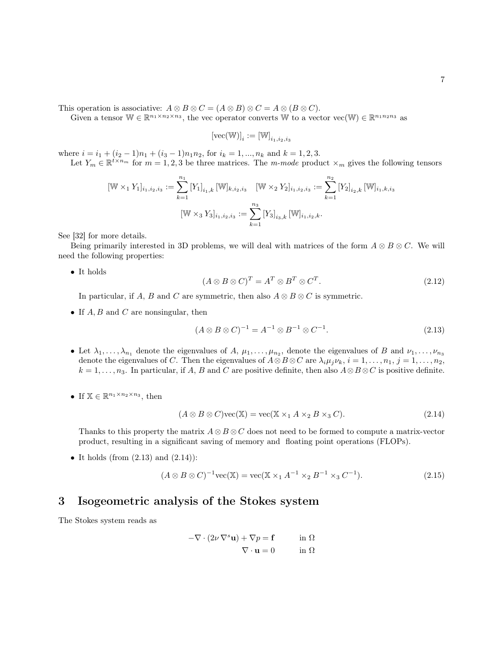This operation is associative:  $A \otimes B \otimes C = (A \otimes B) \otimes C = A \otimes (B \otimes C)$ .

Given a tensor  $\mathbb{W} \in \mathbb{R}^{n_1 \times n_2 \times n_3}$ , the vec operator converts  $\mathbb{W}$  to a vector vec $(\mathbb{W}) \in \mathbb{R}^{n_1 n_2 n_3}$  as

$$
[\text{vec}(\mathbb{W})]_i := [\mathbb{W}]_{i_1,i_2,i_3}
$$

where  $i = i_1 + (i_2 - 1)n_1 + (i_3 - 1)n_1n_2$ , for  $i_k = 1, ..., n_k$  and  $k = 1, 2, 3$ .

Let  $Y_m \in \mathbb{R}^{t \times n_m}$  for  $m = 1, 2, 3$  be three matrices. The m-mode product  $\times_m$  gives the following tensors

$$
[\mathbb{W} \times_1 Y_1]_{i_1, i_2, i_3} := \sum_{k=1}^{n_1} [Y_1]_{i_1, k} [\mathbb{W}]_{k, i_2, i_3} \quad [\mathbb{W} \times_2 Y_2]_{i_1, i_2, i_3} := \sum_{k=1}^{n_2} [Y_2]_{i_2, k} [\mathbb{W}]_{i_1, k, i_3}
$$

$$
[\mathbb{W} \times_3 Y_3]_{i_1, i_2, i_3} := \sum_{k=1}^{n_3} [Y_3]_{i_3, k} [\mathbb{W}]_{i_1, i_2, k}.
$$

See [32] for more details.

Being primarily interested in 3D problems, we will deal with matrices of the form  $A \otimes B \otimes C$ . We will need the following properties:

 $\bullet\,$  It holds

$$
(A \otimes B \otimes C)^T = A^T \otimes B^T \otimes C^T.
$$
\n(2.12)

In particular, if A, B and C are symmetric, then also  $A \otimes B \otimes C$  is symmetric.

• If  $A, B$  and  $C$  are nonsingular, then

$$
(A \otimes B \otimes C)^{-1} = A^{-1} \otimes B^{-1} \otimes C^{-1}.
$$
\n(2.13)

- Let  $\lambda_1,\ldots,\lambda_{n_1}$  denote the eigenvalues of A,  $\mu_1,\ldots,\mu_{n_2}$ , denote the eigenvalues of B and  $\nu_1,\ldots,\nu_{n_3}$ denote the eigenvalues of C. Then the eigenvalues of  $A \otimes B \otimes C$  are  $\lambda_i \mu_j \nu_k$ ,  $i = 1, \ldots, n_1, j = 1, \ldots, n_2$ ,  $k = 1, \ldots, n_3$ . In particular, if A, B and C are positive definite, then also  $A \otimes B \otimes C$  is positive definite.
- If  $\mathbb{X} \in \mathbb{R}^{n_1 \times n_2 \times n_3}$ , then

$$
(A \otimes B \otimes C)\text{vec}(\mathbb{X}) = \text{vec}(\mathbb{X} \times_1 A \times_2 B \times_3 C).
$$
 (2.14)

Thanks to this property the matrix  $A \otimes B \otimes C$  does not need to be formed to compute a matrix-vector product, resulting in a significant saving of memory and floating point operations (FLOPs).

• It holds (from  $(2.13)$  and  $(2.14)$ ):

$$
(A \otimes B \otimes C)^{-1} \text{vec}(\mathbb{X}) = \text{vec}(\mathbb{X} \times_1 A^{-1} \times_2 B^{-1} \times_3 C^{-1}).
$$
\n(2.15)

### 3 Isogeometric analysis of the Stokes system

The Stokes system reads as

$$
-\nabla \cdot (2\nu \nabla^s \mathbf{u}) + \nabla p = \mathbf{f} \qquad \text{in } \Omega
$$

$$
\nabla \cdot \mathbf{u} = 0 \qquad \text{in } \Omega
$$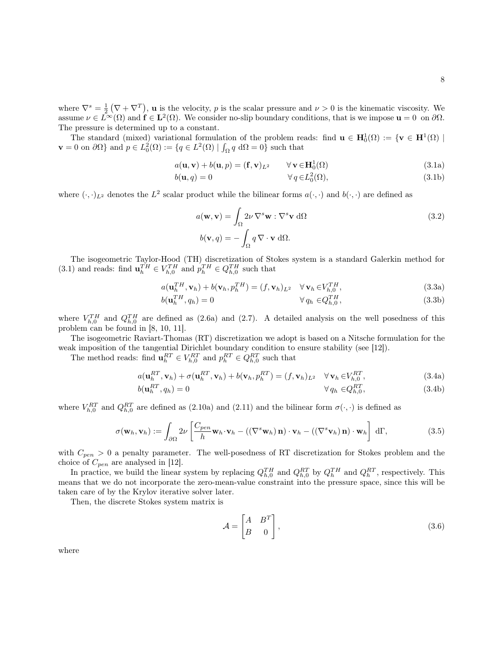where  $\nabla^s = \frac{1}{2} (\nabla + \nabla^T)$ , **u** is the velocity, *p* is the scalar pressure and  $\nu > 0$  is the kinematic viscosity. We assume  $\nu \in L^{\infty}(\Omega)$  and  $\mathbf{f} \in \mathbf{L}^{2}(\Omega)$ . We consider no-slip boundary conditions, that is we impose  $\mathbf{u} = 0$  on  $\partial \Omega$ . The pressure is determined up to a constant.

The standard (mixed) variational formulation of the problem reads: find  $\mathbf{u} \in \mathbf{H}^1_0(\Omega) := \{ \mathbf{v} \in \mathbf{H}^1(\Omega) \mid$  $\mathbf{v} = 0$  on  $\partial\Omega$  and  $p \in L_0^2(\Omega) := \{q \in L^2(\Omega) \mid \int_{\Omega} q \, d\Omega = 0\}$  such that

$$
a(\mathbf{u}, \mathbf{v}) + b(\mathbf{u}, p) = (\mathbf{f}, \mathbf{v})_{L^2} \qquad \forall \mathbf{v} \in \mathbf{H}_0^1(\Omega)
$$
 (3.1a)

$$
b(\mathbf{u}, q) = 0 \qquad \forall q \in L_0^2(\Omega), \tag{3.1b}
$$

where  $(\cdot, \cdot)_{L^2}$  denotes the  $L^2$  scalar product while the bilinear forms  $a(\cdot, \cdot)$  and  $b(\cdot, \cdot)$  are defined as

$$
a(\mathbf{w}, \mathbf{v}) = \int_{\Omega} 2\nu \nabla^s \mathbf{w} : \nabla^s \mathbf{v} d\Omega
$$
  
\n
$$
b(\mathbf{v}, q) = -\int_{\Omega} q \nabla \cdot \mathbf{v} d\Omega.
$$
\n(3.2)

The isogeometric Taylor-Hood (TH) discretization of Stokes system is a standard Galerkin method for (3.1) and reads: find  $\mathbf{u}_h^{TH} \in V_{h,0}^{TH}$  and  $p_h^{TH} \in Q_{h,0}^{TH}$  such that

$$
a(\mathbf{u}_h^{TH}, \mathbf{v}_h) + b(\mathbf{v}_h, p_h^{TH}) = (f, \mathbf{v}_h)_{L^2} \quad \forall \mathbf{v}_h \in V_{h,0}^{TH},
$$
\n(3.3a)

$$
b(\mathbf{u}_h^{TH}, q_h) = 0 \qquad \qquad \forall q_h \in Q_{h,0}^{TH}, \qquad (3.3b)
$$

where  $V_{h,0}^{TH}$  and  $Q_{h,0}^{TH}$  are defined as (2.6a) and (2.7). A detailed analysis on the well posedness of this problem can be found in [8, 10, 11].

The isogeometric Raviart-Thomas (RT) discretization we adopt is based on a Nitsche formulation for the weak imposition of the tangential Dirichlet boundary condition to ensure stability (see [12]).

The method reads: find  $\mathbf{u}_h^{RT} \in V_{h,0}^{RT}$  and  $p_h^{RT} \in Q_{h,0}^{RT}$  such that

$$
a(\mathbf{u}_h^{RT}, \mathbf{v}_h) + \sigma(\mathbf{u}_h^{RT}, \mathbf{v}_h) + b(\mathbf{v}_h, p_h^{RT}) = (f, \mathbf{v}_h)_{L^2} \quad \forall \mathbf{v}_h \in V_{h,0}^{RT},
$$
\n
$$
b(\mathbf{u}_h^{RT}, \mathbf{v}_h) = 0 \qquad \forall \mathbf{a}_h \in O_{h,0}^{RT}
$$
\n(3.4a)

$$
b(\mathbf{u}_h^{RT}, q_h) = 0 \qquad \qquad \forall q_h \in Q_{h,0}^{RT}, \qquad (3.4b)
$$

where  $V_{h,0}^{RT}$  and  $Q_{h,0}^{RT}$  are defined as (2.10a) and (2.11) and the bilinear form  $\sigma(\cdot,\cdot)$  is defined as

$$
\sigma(\mathbf{w}_h, \mathbf{v}_h) := \int_{\partial\Omega} 2\nu \left[ \frac{C_{pen}}{h} \mathbf{w}_h \cdot \mathbf{v}_h - \left( (\nabla^s \mathbf{w}_h) \mathbf{n} \right) \cdot \mathbf{v}_h - \left( (\nabla^s \mathbf{v}_h) \mathbf{n} \right) \cdot \mathbf{w}_h \right] d\Gamma,
$$
\n(3.5)

with  $C_{pen} > 0$  a penalty parameter. The well-posedness of RT discretization for Stokes problem and the choice of  $C_{pen}$  are analysed in [12].

In practice, we build the linear system by replacing  $Q_{h,0}^{TH}$  and  $Q_{h,0}^{RT}$  by  $Q_h^{TH}$  and  $Q_h^{RT}$ , respectively. This means that we do not incorporate the zero-mean-value constraint into the pressure space, since this will be taken care of by the Krylov iterative solver later.

Then, the discrete Stokes system matrix is

$$
\mathcal{A} = \begin{bmatrix} A & B^T \\ B & 0 \end{bmatrix},\tag{3.6}
$$

where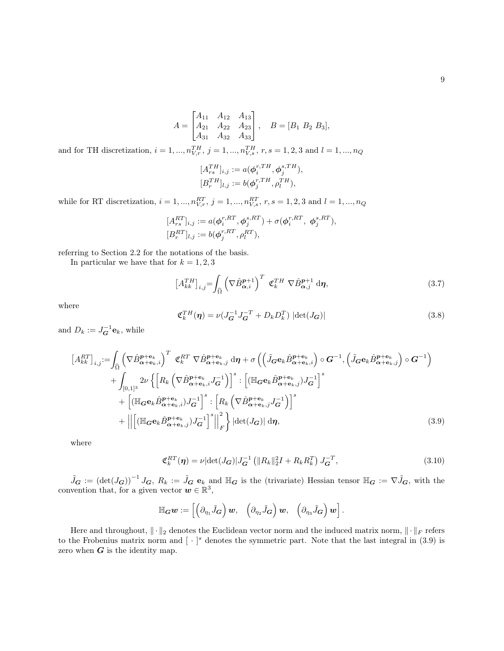$$
A = \begin{bmatrix} A_{11} & A_{12} & A_{13} \\ A_{21} & A_{22} & A_{23} \\ A_{31} & A_{32} & A_{33} \end{bmatrix}, \quad B = [B_1 \ B_2 \ B_3],
$$

and for TH discretization,  $i = 1, ..., n_{V,r}^{TH}$ ,  $j = 1, ..., n_{V,s}^{TH}$ ,  $r, s = 1, 2, 3$  and  $l = 1, ..., n_Q$ 

$$
[A_{rs}^{TH}]_{i,j} := a(\phi_i^{r,TH}, \phi_j^{s,TH}),
$$
  

$$
[B_r^{TH}]_{l,j} := b(\phi_j^{r,TH}, \rho_l^{TH}),
$$

while for RT discretization,  $i = 1, ..., n_{V,r}^{RT}$ ,  $j = 1, ..., n_{V,s}^{RT}$ ,  $r, s = 1, 2, 3$  and  $l = 1, ..., n_Q$ 

$$
\begin{aligned} [A^{RT}_{rs}]_{i,j} &:= a(\boldsymbol{\phi}_i^{r,RT}, \boldsymbol{\phi}_j^{s,RT}) + \sigma(\boldsymbol{\phi}_i^{r,RT}, \ \boldsymbol{\phi}_j^{s,RT}), \\ [B^{RT}_r]_{l,j} &:= b(\boldsymbol{\phi}_j^{r,RT}, \rho_l^{RT}), \end{aligned}
$$

referring to Section 2.2 for the notations of the basis.

In particular we have that for  $k = 1, 2, 3$ 

$$
\left[A_{kk}^{TH}\right]_{i,j} = \int_{\widehat{\Omega}} \left(\nabla \hat{B}_{\alpha,i}^{p+1}\right)^T \ \mathfrak{C}_k^{TH} \ \nabla \hat{B}_{\alpha,j}^{p+1} \ \mathrm{d}\eta,\tag{3.7}
$$

where

$$
\mathfrak{C}_k^{TH}(\boldsymbol{\eta}) = \nu(J_{\mathbf{G}}^{-1} J_{\mathbf{G}}^{-T} + D_k D_k^T) |\det(J_{\mathbf{G}})| \tag{3.8}
$$

and  $D_k := J_G^{-1} \mathbf{e}_k$ , while

$$
\begin{split}\n\left[A_{kk}^{RT}\right]_{i,j} &:= \int_{\widehat{\Omega}} \left(\nabla \hat{B}_{\alpha + \mathbf{e}_k, i}^{p + \mathbf{e}_k}\right)^T \mathfrak{C}_k^{RT} \nabla \hat{B}_{\alpha + \mathbf{e}_k, j}^{p + \mathbf{e}_k} d\boldsymbol{\eta} + \sigma \left(\left(\tilde{J}_{\mathbf{G}} \mathbf{e}_k \hat{B}_{\alpha + \mathbf{e}_k, i}^{p + \mathbf{e}_k}\right) \circ \mathbf{G}^{-1}, \left(\tilde{J}_{\mathbf{G}} \mathbf{e}_k \hat{B}_{\alpha + \mathbf{e}_k, j}^{p + \mathbf{e}_k}\right) \circ \mathbf{G}^{-1}\right) \\
&+ \int_{[0,1]^3} 2\nu \left\{\left[R_k \left(\nabla \hat{B}_{\alpha + \mathbf{e}_k, i}^{p + \mathbf{e}_k} J_{\mathbf{G}}^{-1}\right)\right]^s : \left[\left(\mathbb{H}_{\mathbf{G}} \mathbf{e}_k \hat{B}_{\alpha + \mathbf{e}_k, j}^{p + \mathbf{e}_k}\right) J_{\mathbf{G}}^{-1}\right]^s \\
&+ \left[\left(\mathbb{H}_{\mathbf{G}} \mathbf{e}_k \hat{B}_{\alpha + \mathbf{e}_k, i}^{p + \mathbf{e}_k}\right) J_{\mathbf{G}}^{-1}\right]^s : \left[R_k \left(\nabla \hat{B}_{\alpha + \mathbf{e}_k, j}^{p + \mathbf{e}_k} J_{\mathbf{G}}^{-1}\right)\right]^s \\
&+ \left\|\left[\left(\mathbb{H}_{\mathbf{G}} \mathbf{e}_k \hat{B}_{\alpha + \mathbf{e}_k, j}^{p + \mathbf{e}_k}\right) J_{\mathbf{G}}^{-1}\right]^s\right\|^2 \right\} \left|\det(J_{\mathbf{G}}) \right| d\boldsymbol{\eta},\n\end{split} \tag{3.9}
$$

where

$$
\mathfrak{C}_k^{RT}(\eta) = \nu |\det(J_G)| J_G^{-1} (||R_k||_2^2 I + R_k R_k^T) J_G^{-T},
$$
\n(3.10)

 $\tilde{J}_{\mathbf{G}} := (\det(J_{\mathbf{G}}))^{-1} J_{\mathbf{G}}, R_k := \tilde{J}_{\mathbf{G}} e_k$  and  $\mathbb{H}_{\mathbf{G}}$  is the (trivariate) Hessian tensor  $\mathbb{H}_{\mathbf{G}} := \nabla \tilde{J}_{\mathbf{G}}$ , with the convention that, for a given vector  $w \in \mathbb{R}^3$ ,

$$
\mathbb{H}_{\mathbf{G}}\boldsymbol{w}:=\left[\left(\partial_{\eta_1}\tilde{J}_{\mathbf{G}}\right)\boldsymbol{w},\quad\left(\partial_{\eta_2}\tilde{J}_{\mathbf{G}}\right)\boldsymbol{w},\quad\left(\partial_{\eta_3}\tilde{J}_{\mathbf{G}}\right)\boldsymbol{w}\right].
$$

Here and throughout,  $\|\cdot\|_2$  denotes the Euclidean vector norm and the induced matrix norm,  $\|\cdot\|_F$  refers to the Frobenius matrix norm and  $\lceil \cdot \rceil^s$  denotes the symmetric part. Note that the last integral in (3.9) is zero when  $G$  is the identity map.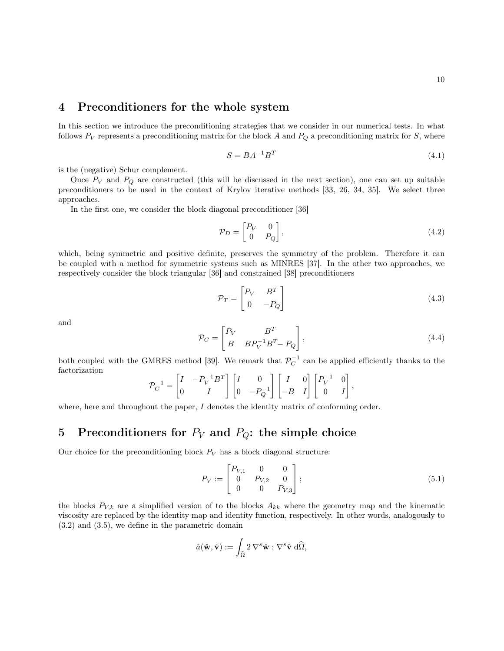### 4 Preconditioners for the whole system

In this section we introduce the preconditioning strategies that we consider in our numerical tests. In what follows  $P_V$  represents a preconditioning matrix for the block A and  $P_Q$  a preconditioning matrix for S, where

$$
S = BA^{-1}B^{T}
$$
\n
$$
(4.1)
$$

is the (negative) Schur complement.

Once  $P_V$  and  $P_Q$  are constructed (this will be discussed in the next section), one can set up suitable preconditioners to be used in the context of Krylov iterative methods [33, 26, 34, 35]. We select three approaches.

In the first one, we consider the block diagonal preconditioner [36]

$$
\mathcal{P}_D = \begin{bmatrix} P_V & 0 \\ 0 & P_Q \end{bmatrix},\tag{4.2}
$$

which, being symmetric and positive definite, preserves the symmetry of the problem. Therefore it can be coupled with a method for symmetric systems such as MINRES [37]. In the other two approaches, we respectively consider the block triangular [36] and constrained [38] preconditioners

$$
\mathcal{P}_T = \begin{bmatrix} P_V & B^T \\ 0 & -P_Q \end{bmatrix} \tag{4.3}
$$

and

$$
\mathcal{P}_C = \begin{bmatrix} P_V & B^T \\ B & B P_V^{-1} B^T - P_Q \end{bmatrix},\tag{4.4}
$$

both coupled with the GMRES method [39]. We remark that  $\mathcal{P}_C^{-1}$  can be applied efficiently thanks to the factorization

$$
\mathcal{P}_C^{-1} = \begin{bmatrix} I & -P_V^{-1}B^T \\ 0 & I \end{bmatrix} \begin{bmatrix} I & 0 \\ 0 & -P_Q^{-1} \end{bmatrix} \begin{bmatrix} I & 0 \\ -B & I \end{bmatrix} \begin{bmatrix} P_V^{-1} & 0 \\ 0 & I \end{bmatrix},
$$

where, here and throughout the paper,  $I$  denotes the identity matrix of conforming order.

# 5 Preconditioners for  $P_V$  and  $P_Q$ : the simple choice

Our choice for the preconditioning block  $P_V$  has a block diagonal structure:

$$
P_V := \begin{bmatrix} P_{V,1} & 0 & 0 \\ 0 & P_{V,2} & 0 \\ 0 & 0 & P_{V,3} \end{bmatrix};
$$
\n(5.1)

the blocks  $P_{V,k}$  are a simplified version of to the blocks  $A_{kk}$  where the geometry map and the kinematic viscosity are replaced by the identity map and identity function, respectively. In other words, analogously to (3.2) and (3.5), we define in the parametric domain

$$
\hat{a}(\hat{\mathbf{w}}, \hat{\mathbf{v}}) := \int_{\widehat{\Omega}} 2 \, \nabla^s \hat{\mathbf{w}} : \nabla^s \hat{\mathbf{v}} \, d\widehat{\Omega},
$$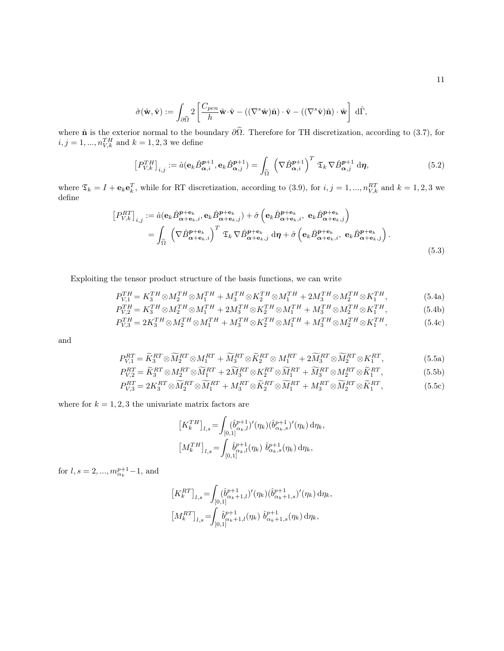$$
\hat{\sigma}(\hat{\mathbf{w}}, \hat{\mathbf{v}}) := \int_{\partial \widehat{\Omega}} 2 \left[ \frac{C_{pen}}{h} \hat{\mathbf{w}} \cdot \hat{\mathbf{v}} - ((\nabla^s \hat{\mathbf{w}}) \hat{\mathbf{n}}) \cdot \hat{\mathbf{v}} - ((\nabla^s \hat{\mathbf{v}}) \hat{\mathbf{n}}) \cdot \hat{\mathbf{w}} \right] d\widehat{\Gamma},
$$

where  $\hat{\mathbf{n}}$  is the exterior normal to the boundary  $\partial\Omega$ . Therefore for TH discretization, according to (3.7), for  $i, j = 1, ..., n_{V,k}^{TH}$  and  $k = 1, 2, 3$  we define

$$
\left[P_{V,k}^{TH}\right]_{i,j} := \hat{a}(\mathbf{e}_k \hat{B}_{\alpha,i}^{p+1}, \mathbf{e}_k \hat{B}_{\alpha,j}^{p+1}) = \int_{\widehat{\Omega}} \left(\nabla \hat{B}_{\alpha,i}^{p+1}\right)^T \mathfrak{T}_k \nabla \hat{B}_{\alpha,j}^{p+1} d\eta, \tag{5.2}
$$

where  $\mathfrak{T}_k = I + \mathbf{e}_k \mathbf{e}_k^T$ , while for RT discretization, according to (3.9), for  $i, j = 1, ..., n_{V,k}^{RT}$  and  $k = 1, 2, 3$  we define

$$
\begin{split} \left[P_{V,k}^{RT}\right]_{i,j} &:= \hat{a}(\mathbf{e}_{k}\hat{B}_{\alpha+\mathbf{e}_{k},i}^{\mathbf{p}+\mathbf{e}_{k}},\mathbf{e}_{k}\hat{B}_{\alpha+\mathbf{e}_{k},j}^{\mathbf{p}+\mathbf{e}_{k}}) + \hat{\sigma}\left(\mathbf{e}_{k}\hat{B}_{\alpha+\mathbf{e}_{k},i}^{\mathbf{p}+\mathbf{e}_{k}},\mathbf{e}_{k}\hat{B}_{\alpha+\mathbf{e}_{k},j}^{\mathbf{p}+\mathbf{e}_{k}}\right) \\ &= \int_{\hat{\Omega}} \left(\nabla \hat{B}_{\alpha+\mathbf{e}_{k},i}^{\mathbf{p}+\mathbf{e}_{k}}\right)^{T} \mathfrak{T}_{k}\nabla \hat{B}_{\alpha+\mathbf{e}_{k},j}^{\mathbf{p}+\mathbf{e}_{k}} \, \mathrm{d}\eta + \hat{\sigma}\left(\mathbf{e}_{k}\hat{B}_{\alpha+\mathbf{e}_{k},i}^{\mathbf{p}+\mathbf{e}_{k}},\mathbf{e}_{k}\hat{B}_{\alpha+\mathbf{e}_{k},j}^{\mathbf{p}+\mathbf{e}_{k}}\right). \end{split} \tag{5.3}
$$

Exploiting the tensor product structure of the basis functions, we can write

$$
P_{V,1}^{TH} = K_3^{TH} \otimes M_2^{TH} \otimes M_1^{TH} + M_3^{TH} \otimes K_2^{TH} \otimes M_1^{TH} + 2M_3^{TH} \otimes M_2^{TH} \otimes K_1^{TH}, \tag{5.4a}
$$

$$
P_{V,2}^{TH} = K_3^{TH} \otimes M_2^{TH} \otimes M_1^{TH} + 2M_3^{TH} \otimes K_2^{TH} \otimes M_1^{TH} + M_3^{TH} \otimes M_2^{TH} \otimes K_1^{TH},\tag{5.4b}
$$

$$
P_{V,3}^{TH} = 2K_3^{TH} \otimes M_2^{TH} \otimes M_1^{TH} + M_3^{TH} \otimes K_2^{TH} \otimes M_1^{TH} + M_3^{TH} \otimes M_2^{TH} \otimes K_1^{TH},\tag{5.4c}
$$

and

$$
P_{V,1}^{RT} = \widetilde{K}_3^{RT} \otimes \widetilde{M}_2^{RT} \otimes M_1^{RT} + \widetilde{M}_3^{RT} \otimes \widetilde{K}_2^{RT} \otimes M_1^{RT} + 2\widetilde{M}_3^{RT} \otimes \widetilde{M}_2^{RT} \otimes K_1^{RT},\tag{5.5a}
$$

$$
P_{V,2}^{RT} = \widetilde{K}_3^{RT} \otimes M_2^{RT} \otimes \widetilde{M}_1^{RT} + 2\widetilde{M}_3^{RT} \otimes K_2^{RT} \otimes \widetilde{M}_1^{RT} + \widetilde{M}_3^{RT} \otimes M_2^{RT} \otimes \widetilde{K}_1^{RT},\tag{5.5b}
$$

$$
P_{V,3}^{RT} = 2K_3^{RT} \otimes \widetilde{M}_2^{RT} \otimes \widetilde{M}_1^{RT} + M_3^{RT} \otimes \widetilde{K}_2^{RT} \otimes \widetilde{M}_1^{RT} + M_3^{RT} \otimes \widetilde{M}_2^{RT} \otimes \widetilde{K}_1^{RT},\tag{5.5c}
$$

where for  $k = 1, 2, 3$  the univariate matrix factors are

$$
\begin{aligned} \left[K_k^{TH}\right]_{l,s} &= \int_{[0,1]} (\hat{b}_{\alpha_k,l}^{p+1})'(\eta_k) (\hat{b}_{\alpha_k,s}^{p+1})'(\eta_k) \,\mathrm{d}\eta_k, \\ \left[M_k^{TH}\right]_{l,s} &= \int_{[0,1]} \hat{b}_{\alpha_k,l}^{p+1}(\eta_k) \; \hat{b}_{\alpha_k,s}^{p+1}(\eta_k) \,\mathrm{d}\eta_k, \end{aligned}
$$

for  $l, s = 2, ..., m_{\alpha_k}^{p+1} - 1$ , and

$$
\begin{aligned} \left[K_k^{RT}\right]_{l,s} &= \!\int_{[0,1]} (\hat{b}_{\alpha_k+1,l}^{p+1})'(\eta_k) (\hat{b}_{\alpha_k+1,s}^{p+1})'(\eta_k) \,\mathrm{d}\eta_k, \\ \left[M_k^{RT}\right]_{l,s} &= \!\int_{[0,1]} \hat{b}_{\alpha_k+1,l}^{p+1}(\eta_k) \; \hat{b}_{\alpha_k+1,s}^{p+1}(\eta_k) \,\mathrm{d}\eta_k, \end{aligned}
$$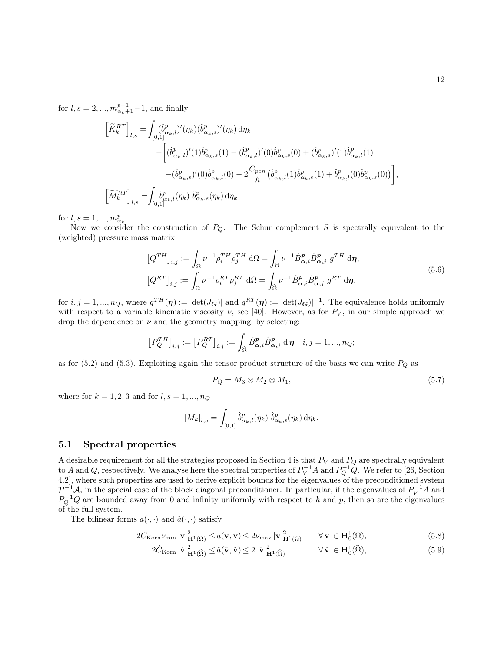for  $l, s = 2, ..., m_{\alpha_k+1}^{p+1} - 1$ , and finally

$$
\begin{split} \left[ \widetilde{K}^{RT}_k \right]_{l,s} =& \int_{[0,1]} (\hat{b}^p_{\alpha_k,l})' (\eta_k) (\hat{b}^p_{\alpha_k,s})' (\eta_k) \, \mathrm{d} \eta_k \\ & - \bigg[ (\hat{b}^p_{\alpha_k,l})' (1) \hat{b}^p_{\alpha_k,s} (1) - (\hat{b}^p_{\alpha_k,l})' (0) \hat{b}^p_{\alpha_k,s} (0) + (\hat{b}^p_{\alpha_k,s})' (1) \hat{b}^p_{\alpha_k,l} (1) \\ & - (\hat{b}^p_{\alpha_k,s})' (0) \hat{b}^p_{\alpha_k,l} (0) - 2 \frac{C_{pen}}{h} (\hat{b}^p_{\alpha_k,l} (1) \hat{b}^p_{\alpha_k,s} (1) + \hat{b}^p_{\alpha_k,l} (0) \hat{b}^p_{\alpha_k,s} (0)) \bigg], \\ \left[ \widetilde{M}^{RT}_k \right]_{l,s} =& \int_{[0,1]} \hat{b}^p_{\alpha_k,l} (\eta_k) \ \hat{b}^p_{\alpha_k,s} (\eta_k) \, \mathrm{d} \eta_k \end{split}
$$

for  $l, s = 1, ..., m_{\alpha_k}^p$ .

Now we consider the construction of  $P_Q$ . The Schur complement S is spectrally equivalent to the (weighted) pressure mass matrix

$$
\left[Q^{TH}\right]_{i,j} := \int_{\Omega} \nu^{-1} \rho_i^{TH} \rho_j^{TH} d\Omega = \int_{\widehat{\Omega}} \nu^{-1} \hat{B}_{\alpha,i}^{p} \hat{B}_{\alpha,j}^{p} g^{TH} d\eta,
$$

$$
\left[Q^{RT}\right]_{i,j} := \int_{\Omega} \nu^{-1} \rho_i^{RT} \rho_j^{RT} d\Omega = \int_{\widehat{\Omega}} \nu^{-1} \hat{B}_{\alpha,i}^{p} \hat{B}_{\alpha,j}^{p} g^{RT} d\eta,
$$

$$
(5.6)
$$

for  $i, j = 1, ..., n_Q$ , where  $g^{TH}(\eta) := |\text{det}(J_G)|$  and  $g^{RT}(\eta) := |\text{det}(J_G)|^{-1}$ . The equivalence holds uniformly with respect to a variable kinematic viscosity  $\nu$ , see [40]. However, as for  $P_V$ , in our simple approach we drop the dependence on  $\nu$  and the geometry mapping, by selecting:

$$
\left[P_{Q}^{TH}\right]_{i,j} := \left[P_{Q}^{RT}\right]_{i,j} := \int_{\widehat{\Omega}} \widehat{B}_{\alpha,i}^{p} \widehat{B}_{\alpha,j}^{p} d\eta \quad i,j = 1,...,n_Q;
$$

as for (5.2) and (5.3). Exploiting again the tensor product structure of the basis we can write  $P_Q$  as

$$
P_Q = M_3 \otimes M_2 \otimes M_1,\tag{5.7}
$$

where for  $k = 1, 2, 3$  and for  $l, s = 1, ..., n_Q$ 

$$
[M_k]_{l,s} = \int_{[0,1]} \hat{b}^p_{\alpha_k,l}(\eta_k) \; \hat{b}^p_{\alpha_k,s}(\eta_k) \, d\eta_k.
$$

### 5.1 Spectral properties

A desirable requirement for all the strategies proposed in Section 4 is that  $P_V$  and  $P_Q$  are spectrally equivalent to A and Q, respectively. We analyse here the spectral properties of  $P_V^{-1}A$  and  $P_Q^{-1}Q$ . We refer to [26, Section 4.2], where such properties are used to derive explicit bounds for the eigenvalues of the preconditioned system  $\mathcal{P}^{-1}\mathcal{A}$ , in the special case of the block diagonal preconditioner. In particular, if the eigenvalues of  $P_V^{-1}A$  and  $P_Q^{-1}Q$  are bounded away from 0 and infinity uniformly with respect to h and p, then so are the eigenvalues of the full system.

The bilinear forms  $a(\cdot, \cdot)$  and  $\hat{a}(\cdot, \cdot)$  satisfy

$$
2C_{\text{Korn}}\nu_{\text{min}}\left|\mathbf{v}\right|_{\mathbf{H}^{1}(\Omega)}^{2} \le a(\mathbf{v},\mathbf{v}) \le 2\nu_{\text{max}}\left|\mathbf{v}\right|_{\mathbf{H}^{1}(\Omega)}^{2} \quad \forall \mathbf{v} \in \mathbf{H}_{0}^{1}(\Omega),\tag{5.8}
$$

$$
2\hat{C}_{\text{Korn}}\left|\hat{\mathbf{v}}\right|_{\mathbf{H}^{1}(\widehat{\Omega})}^{2} \leq \hat{a}(\hat{\mathbf{v}}, \hat{\mathbf{v}}) \leq 2\left|\hat{\mathbf{v}}\right|_{\mathbf{H}^{1}(\widehat{\Omega})}^{2} \qquad \forall \hat{\mathbf{v}} \in \mathbf{H}_{0}^{1}(\widehat{\Omega}), \tag{5.9}
$$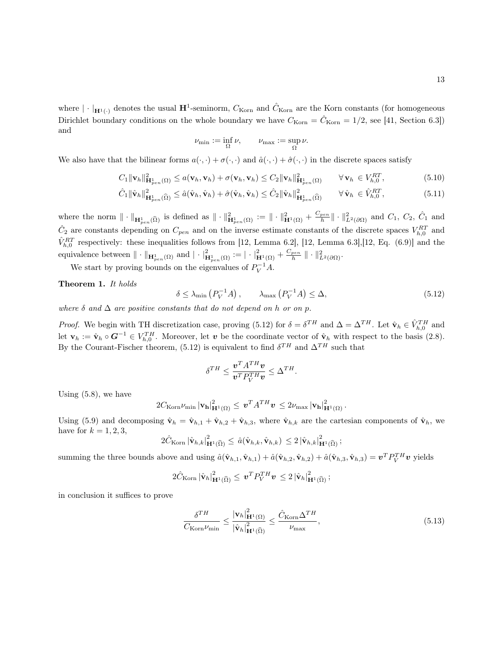where  $|\cdot|_{\mathbf{H}^1(\cdot)}$  denotes the usual  $\mathbf{H}^1$ -seminorm,  $C_{\text{Korn}}$  and  $\hat{C}_{\text{Korn}}$  are the Korn constants (for homogeneous Dirichlet boundary conditions on the whole boundary we have  $C_{\text{Korn}} = \hat{C}_{\text{Korn}} = 1/2$ , see [41, Section 6.3]) and

$$
\nu_{\min}:=\inf_{\Omega}\nu,\qquad \nu_{\max}:=\sup_{\Omega}\nu.
$$

We also have that the bilinear forms  $a(\cdot, \cdot) + \sigma(\cdot, \cdot)$  and  $\hat{a}(\cdot, \cdot) + \hat{\sigma}(\cdot, \cdot)$  in the discrete spaces satisfy

$$
C_1 \|\mathbf{v}_h\|_{\mathbf{H}_{pen}^1(\Omega)}^2 \le a(\mathbf{v}_h, \mathbf{v}_h) + \sigma(\mathbf{v}_h, \mathbf{v}_h) \le C_2 \|\mathbf{v}_h\|_{\mathbf{H}_{pen}^1(\Omega)}^2 \qquad \forall \mathbf{v}_h \in V_{h,0}^{RT},
$$
\n(5.10)

$$
\hat{C}_1 \|\hat{\mathbf{v}}_h\|_{\mathbf{H}_{pen}^1(\widehat{\Omega})}^2 \leq \hat{a}(\hat{\mathbf{v}}_h, \hat{\mathbf{v}}_h) + \hat{\sigma}(\hat{\mathbf{v}}_h, \hat{\mathbf{v}}_h) \leq \hat{C}_2 \|\hat{\mathbf{v}}_h\|_{\mathbf{H}_{pen}^1(\widehat{\Omega})}^2 \qquad \forall \,\hat{\mathbf{v}}_h \in \hat{V}_{h,0}^{RT},\tag{5.11}
$$

where the norm  $\|\cdot\|_{\mathbf{H}_{pen}^1(\widehat{\Omega})}$  is defined as  $\|\cdot\|_{\mathbf{H}_{pen}^1(\Omega)}^2 := \|\cdot\|_{\mathbf{H}^1(\Omega)}^2 + \frac{C_{pen}}{h} \|\cdot\|_{L^2(\partial\Omega)}^2$  and  $C_1$ ,  $C_2$ ,  $\widehat{C}_1$  and  $\hat{C}_2$  are constants depending on  $C_{pen}$  and on the inverse estimate constants of the discrete spaces  $V_{h,0}^{RT}$  and  $\hat{V}_{h,0}^{RT}$  respectively: these inequalities follows from [12, Lemma 6.2], [12, Lemma 6.3], [12, Eq. (6.9)] and the equivalence between  $\|\cdot\|_{\mathbf{H}_{pen}^1(\Omega)}$  and  $|\cdot|^2_{\mathbf{H}_{pen}^1(\Omega)} := |\cdot|^2_{\mathbf{H}^1(\Omega)} + \frac{C_{pen}}{h} \|\cdot\|^2_{L^2(\partial\Omega)}$ .

We start by proving bounds on the eigenvalues of  $P_V^{-1}A$ .

Theorem 1. It holds

$$
\delta \le \lambda_{\min} \left( P_V^{-1} A \right), \qquad \lambda_{\max} \left( P_V^{-1} A \right) \le \Delta, \tag{5.12}
$$

where  $\delta$  and  $\Delta$  are positive constants that do not depend on h or on p.

*Proof.* We begin with TH discretization case, proving (5.12) for  $\delta = \delta^{TH}$  and  $\Delta = \Delta^{TH}$ . Let  $\hat{\mathbf{v}}_h \in \hat{V}_{h,0}^{TH}$  and let  $\mathbf{v}_h := \hat{\mathbf{v}}_h \circ \mathbf{G}^{-1} \in V_{h,0}^{TH}$ . Moreover, let  $\mathbf{v}$  be the coordinate vector of  $\hat{\mathbf{v}}_h$  with respect to the basis (2.8). By the Courant-Fischer theorem, (5.12) is equivalent to find  $\delta^{TH}$  and  $\Delta^{TH}$  such that

$$
\delta^{TH} \leq \frac{{\boldsymbol{v}}^T A^{TH} {\boldsymbol{v}} }{{\boldsymbol{v}}^T P_V^{TH} {\boldsymbol{v}}} \leq \Delta^{TH}.
$$

Using (5.8), we have

$$
2C_{\mathrm{Korn}}\nu_{\mathrm{min}}\left|\mathbf{v}_{\mathbf{h}}\right|_{\mathbf{H}^{1}\left(\Omega\right)}^{2} \leq \boldsymbol{v}^{T}A^{TH}\boldsymbol{v}\leq 2\nu_{\mathrm{max}}\left|\mathbf{v}_{\mathbf{h}}\right|_{\mathbf{H}^{1}\left(\Omega\right)}^{2}.
$$

Using (5.9) and decomposing  $\hat{\mathbf{v}}_h = \hat{\mathbf{v}}_{h,1} + \hat{\mathbf{v}}_{h,2} + \hat{\mathbf{v}}_{h,3}$ , where  $\hat{\mathbf{v}}_{h,k}$  are the cartesian components of  $\hat{\mathbf{v}}_h$ , we have for  $k = 1, 2, 3$ ,

$$
2\hat{C}_{\mathrm{Korn}}\left|\hat{\mathbf{v}}_{h,k}\right|_{\mathbf{H}^{1}(\widehat{\Omega})}^{2} \leq \hat{a}(\hat{\mathbf{v}}_{h,k},\hat{\mathbf{v}}_{h,k}) \leq 2\left|\hat{\mathbf{v}}_{h,k}\right|_{\mathbf{H}^{1}(\widehat{\Omega})}^{2};
$$

summing the three bounds above and using  $\hat{a}(\hat{\mathbf{v}}_{h,1}, \hat{\mathbf{v}}_{h,1}) + \hat{a}(\hat{\mathbf{v}}_{h,2}, \hat{\mathbf{v}}_{h,2}) + \hat{a}(\hat{\mathbf{v}}_{h,3}, \hat{\mathbf{v}}_{h,3}) = \mathbf{v}^T P_V^{TH} \mathbf{v}$  yields

$$
2\hat{C}_{\mathrm{Korn}}\left|\hat{\mathbf{v}}_{h}\right|^{2}_{\mathbf{H}^{1}(\widehat{\Omega})} \leq \boldsymbol{v}^{T} P_{V}^{TH} \boldsymbol{v} \leq 2\left|\hat{\mathbf{v}}_{h}\right|^{2}_{\mathbf{H}^{1}(\widehat{\Omega})};
$$

in conclusion it suffices to prove

$$
\frac{\delta^{TH}}{C_{\text{Korn}}\nu_{\text{min}}} \le \frac{|\mathbf{v}_h|_{\mathbf{H}^1(\Omega)}^2}{|\hat{\mathbf{v}}_h|_{\mathbf{H}^1(\widehat{\Omega})}^2} \le \frac{\hat{C}_{\text{Korn}}\Delta^{TH}}{\nu_{\text{max}}},\tag{5.13}
$$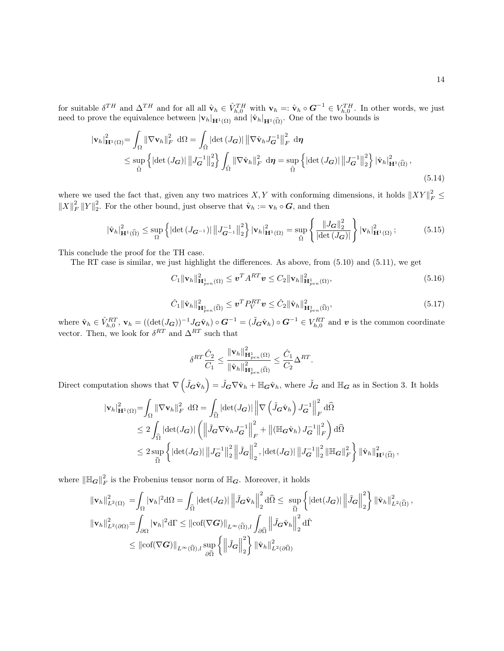for suitable  $\delta^{TH}$  and  $\Delta^{TH}$  and for all all  $\hat{\mathbf{v}}_h \in \hat{V}_{h,0}^{TH}$  with  $\mathbf{v}_h =: \hat{\mathbf{v}}_h \circ \mathbf{G}^{-1} \in V_{h,0}^{TH}$ . In other words, we just need to prove the equivalence between  $|{\bf v}_h|_{\mathbf{H}^1(\Omega)}$  and  $|\hat{\bf v}_h|_{\mathbf{H}^1(\widehat{\Omega})}$ . One of the two bounds is

$$
\begin{split} |\mathbf{v}_{h}|_{\mathbf{H}^{1}(\Omega)}^{2} &= \int_{\Omega} \left\| \nabla \mathbf{v}_{h} \right\|_{F}^{2} \, \mathrm{d}\Omega = \int_{\hat{\Omega}} \left| \det \left( J_{\mathbf{G}} \right) \right| \left\| \nabla \hat{\mathbf{v}}_{h} J_{\mathbf{G}}^{-1} \right\|_{F}^{2} \, \mathrm{d}\eta \\ &\leq \sup_{\hat{\Omega}} \left\{ \left| \det \left( J_{\mathbf{G}} \right) \right| \left\| J_{\mathbf{G}}^{-1} \right\|_{2}^{2} \right\} \int_{\hat{\Omega}} \left\| \nabla \hat{\mathbf{v}}_{h} \right\|_{F}^{2} \, \mathrm{d}\eta = \sup_{\hat{\Omega}} \left\{ \left| \det \left( J_{\mathbf{G}} \right) \right| \left\| J_{\mathbf{G}}^{-1} \right\|_{2}^{2} \right\} \left| \hat{\mathbf{v}}_{h} \right|_{\mathbf{H}^{1}(\hat{\Omega})}^{2}, \end{split} \tag{5.14}
$$

where we used the fact that, given any two matrices X, Y with conforming dimensions, it holds  $||XY||_F^2 \le$  $||X||_F^2 ||Y||_2^2$ . For the other bound, just observe that  $\hat{\mathbf{v}}_h := \mathbf{v}_h \circ \mathbf{G}$ , and then

$$
\left|\hat{\mathbf{v}}_{h}\right|_{\mathbf{H}^{1}(\widehat{\Omega})}^{2} \leq \sup_{\Omega} \left\{ \left|\det\left(J_{\mathbf{G}^{-1}}\right)\right| \left\|J_{\mathbf{G}^{-1}}^{-1}\right\|_{2}^{2} \right\} \left|\mathbf{v}_{h}\right|_{\mathbf{H}^{1}(\Omega)}^{2} = \sup_{\hat{\Omega}} \left\{ \frac{\left\|J_{\mathbf{G}}\right\|_{2}^{2}}{\left|\det\left(J_{\mathbf{G}}\right)\right|} \right\} \left|\mathbf{v}_{h}\right|_{\mathbf{H}^{1}(\Omega)}^{2};\tag{5.15}
$$

This conclude the proof for the TH case.

The RT case is similar, we just highlight the differences. As above, from (5.10) and (5.11), we get

 $C_1 \|\mathbf{v}_h\|_{\mathbf{H}_{pen}^{1}(\Omega)}^2 \leq \boldsymbol{v}^T A^{RT} \boldsymbol{v} \leq C_2 \|\mathbf{v}_h\|_{\mathbf{H}_{pen}^{1}(\Omega)}^2,$  (5.16)

$$
\hat{C}_1 \|\hat{\mathbf{v}}_h\|_{\mathbf{H}_{pen}^1(\widehat{\Omega})}^2 \le \boldsymbol{v}^T P_V^{RT} \boldsymbol{v} \le \hat{C}_2 \|\hat{\mathbf{v}}_h\|_{\mathbf{H}_{pen}^1(\widehat{\Omega})}^2, \tag{5.17}
$$

where  $\hat{\mathbf{v}}_h \in \hat{V}_{h,0}^{RT}$ ,  $\mathbf{v}_h = ((\det(J_G))^{-1} J_G \hat{\mathbf{v}}_h) \circ G^{-1} = (\tilde{J}_G \hat{\mathbf{v}}_h) \circ G^{-1} \in V_{h,0}^{RT}$  and  $v$  is the common coordinate vector. Then, we look for  $\delta^{RT}$  and  $\Delta^{RT}$  such that

$$
\delta^{RT}\frac{\hat{C}_2}{C_1} \leq \frac{\|\mathbf{v}_h\|_{\mathbf{H}^1_{pen}(\Omega)}^2}{\|\hat{\mathbf{v}}_h\|_{\mathbf{H}^1_{pen}(\widehat{\Omega})}^2} \leq \frac{\hat{C}_1}{C_2}\Delta^{RT}.
$$

Direct computation shows that  $\nabla \left( \tilde{J}_{\tilde{\mathbf{G}}} \hat{\mathbf{v}}_h \right) = \tilde{J}_{\tilde{\mathbf{G}}} \nabla \hat{\mathbf{v}}_h + \mathbb{H}_{\tilde{\mathbf{G}}} \hat{\mathbf{v}}_h$ , where  $\tilde{J}_{\tilde{\mathbf{G}}}$  and  $\mathbb{H}_{\tilde{\mathbf{G}}}$  as in Section 3. It holds

$$
\begin{split} \left\| \mathbf{v}_h \right\|_{\mathbf{H}^1(\Omega)}^2 &= \int_{\Omega} \left\| \nabla \mathbf{v}_h \right\|_F^2 \, \mathrm{d}\Omega = \int_{\widehat{\Omega}} \left| \det(J_{\mathbf{G}}) \right| \left\| \nabla \left( \tilde{J}_{\mathbf{G}} \hat{\mathbf{v}}_h \right) J_{\mathbf{G}}^{-1} \right\|_F^2 \, \mathrm{d}\widehat{\Omega} \\ &\leq 2 \int_{\widehat{\Omega}} \left| \det(J_{\mathbf{G}}) \right| \left( \left\| \tilde{J}_{\mathbf{G}} \nabla \hat{\mathbf{v}}_h J_{\mathbf{G}}^{-1} \right\|_F^2 + \left\| \left( \mathbb{H}_{\mathbf{G}} \hat{\mathbf{v}}_h \right) J_{\mathbf{G}}^{-1} \right\|_F^2 \right) \mathrm{d}\widehat{\Omega} \\ &\leq 2 \sup_{\widehat{\Omega}} \left\{ \left| \det(J_{\mathbf{G}}) \right| \left\| J_{\mathbf{G}}^{-1} \right\|_2^2 \left\| \tilde{J}_{\mathbf{G}} \right\|_2^2, \left| \det(J_{\mathbf{G}}) \right| \left\| J_{\mathbf{G}}^{-1} \right\|_2^2 \left\| \mathbb{H}_{\mathbf{G}} \right\|_F^2 \right\} \left\| \hat{\mathbf{v}}_h \right\|_{\mathbf{H}^1(\widehat{\Omega})}^2, \end{split}
$$

where  $\|\mathbb{H}_{G}\|_{F}^{2}$  is the Frobenius tensor norm of  $\mathbb{H}_{G}$ . Moreover, it holds

$$
\|\mathbf{v}_{h}\|_{L^{2}(\Omega)}^{2} = \int_{\Omega} |\mathbf{v}_{h}|^{2} d\Omega = \int_{\widehat{\Omega}} |\det(J_{\mathbf{G}})| \left\| \tilde{J}_{\mathbf{G}} \hat{\mathbf{v}}_{h} \right\|_{2}^{2} d\widehat{\Omega} \le \sup_{\widehat{\Omega}} \left\{ |\det(J_{\mathbf{G}})| \left\| \tilde{J}_{\mathbf{G}} \right\|_{2}^{2} \right\} \|\hat{\mathbf{v}}_{h}\|_{L^{2}(\widehat{\Omega})}^{2},
$$
  

$$
\|\mathbf{v}_{h}\|_{L^{2}(\partial\Omega)}^{2} = \int_{\partial\Omega} |\mathbf{v}_{h}|^{2} d\Gamma \le ||\mathrm{cof}(\nabla \mathbf{G})||_{L^{\infty}(\widehat{\Omega}),l} \int_{\partial\widehat{\Omega}} \left\| \tilde{J}_{\mathbf{G}} \hat{\mathbf{v}}_{h} \right\|_{2}^{2} d\widehat{\Gamma}
$$
  

$$
\le ||\mathrm{cof}(\nabla \mathbf{G})||_{L^{\infty}(\widehat{\Omega}),l} \sup_{\partial\widehat{\Omega}} \left\{ \left\| \tilde{J}_{\mathbf{G}} \right\|_{2}^{2} \right\} \|\hat{\mathbf{v}}_{h}\|_{L^{2}(\partial\widehat{\Omega})}^{2}
$$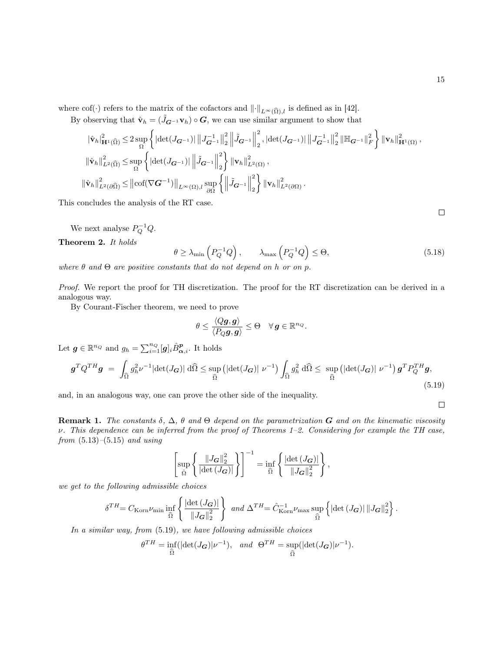where cof(·) refers to the matrix of the cofactors and  $\|\cdot\|_{L^{\infty}(\widehat{\Omega}),l}$  is defined as in [42].

By observing that  $\hat{\mathbf{v}}_h = (\tilde{J}_{\mathbf{G}^{-1}} \mathbf{v}_h) \circ \mathbf{G}$ , we can use similar argument to show that

$$
\begin{split}\n&\left\|\hat{\mathbf{v}}_{h}\right\|_{\mathbf{H}^{1}(\widehat{\Omega})}^{2} \leq 2 \sup_{\Omega} \left\{ \left|\det(J_{\mathbf{G}^{-1}})\right| \left\|J_{\mathbf{G}^{-1}}^{-1}\right\|_{2}^{2} \left\|\tilde{J}_{\mathbf{G}^{-1}}\right\|_{2}^{2}, \left|\det(J_{\mathbf{G}^{-1}})\right| \left\|J_{\mathbf{G}^{-1}}^{-1}\right\|_{2}^{2} \left\|\mathbb{H}_{\mathbf{G}^{-1}}\right\|_{F}^{2} \right\} \left\|\mathbf{v}_{h}\right\|_{\mathbf{H}^{1}(\Omega)}^{2}, \\
&\left\|\hat{\mathbf{v}}_{h}\right\|_{L^{2}(\widehat{\Omega})}^{2} \leq \sup_{\Omega} \left\{ \left|\det(J_{\mathbf{G}^{-1}})\right| \left\|\tilde{J}_{\mathbf{G}^{-1}}\right\|_{2}^{2} \right\} \left\|\mathbf{v}_{h}\right\|_{L^{2}(\Omega)}^{2}, \\
&\left\|\hat{\mathbf{v}}_{h}\right\|_{L^{2}(\partial\widehat{\Omega})}^{2} \leq \left\|\cot(\nabla \mathbf{G}^{-1})\right\|_{L^{\infty}(\Omega),l} \sup_{\partial\Omega} \left\{\left\|\tilde{J}_{\mathbf{G}^{-1}}\right\|_{2}^{2} \right\} \left\|\mathbf{v}_{h}\right\|_{L^{2}(\partial\Omega)}^{2}.\n\end{split}
$$

This concludes the analysis of the RT case.

We next analyse  $P_Q^{-1}Q$ .

Theorem 2. It holds

$$
\theta \ge \lambda_{\min} \left( P_Q^{-1} Q \right), \qquad \lambda_{\max} \left( P_Q^{-1} Q \right) \le \Theta, \tag{5.18}
$$

where  $\theta$  and  $\Theta$  are positive constants that do not depend on h or on p.

Proof. We report the proof for TH discretization. The proof for the RT discretization can be derived in a analogous way.

By Courant-Fischer theorem, we need to prove

$$
\theta \leq \frac{\langle Q \bm{g}, \bm{g} \rangle}{\langle P_Q \bm{g}, \bm{g} \rangle} \leq \Theta \quad \forall \, \bm{g} \in \mathbb{R}^{n_Q}.
$$

Let  $g \in \mathbb{R}^{n_Q}$  and  $g_h = \sum_{i=1}^{n_Q} [g]_i \hat{B}_{\alpha,i}^p$ . It holds

$$
\mathbf{g}^T Q^{TH} \mathbf{g} = \int_{\widehat{\Omega}} g_h^2 \nu^{-1} |\det(J_{\mathbf{G}})| \, d\widehat{\Omega} \le \sup_{\widehat{\Omega}} \left( |\det(J_{\mathbf{G}})| \, \nu^{-1} \right) \int_{\widehat{\Omega}} g_h^2 \, d\widehat{\Omega} \le \sup_{\widehat{\Omega}} \left( |\det(J_{\mathbf{G}})| \, \nu^{-1} \right) \mathbf{g}^T P_Q^{TH} \mathbf{g},\tag{5.19}
$$

and, in an analogous way, one can prove the other side of the inequality.

**Remark 1.** The constants  $\delta$ ,  $\Delta$ ,  $\theta$  and  $\Theta$  depend on the parametrization **G** and on the kinematic viscosity  $\nu$ . This dependence can be inferred from the proof of Theorems 1–2. Considering for example the TH case, from  $(5.13)$ – $(5.15)$  and using

$$
\left[\sup_{\hat{\Omega}} \left\{ \frac{\|J_{\mathbf{G}}\|_{2}^{2}}{|\text{det}\left(J_{\mathbf{G}}\right)|} \right\} \right]^{-1} = \inf_{\hat{\Omega}} \left\{ \frac{|\text{det}\left(J_{\mathbf{G}}\right)|}{\|J_{\mathbf{G}}\|_{2}^{2}} \right\},\
$$

we get to the following admissible choices

$$
\delta^{TH} = C_{\text{Korn}} \nu_{\text{min}} \inf_{\widehat{\Omega}} \left\{ \frac{\left| \det \left( J_{\mathbf{G}} \right) \right|}{\left\| J_{\mathbf{G}} \right\|_2^2} \right\} \ and \ \Delta^{TH} = \hat{C}_{\text{Korn}}^{-1} \nu_{\text{max}} \sup_{\widehat{\Omega}} \left\{ \left| \det \left( J_{\mathbf{G}} \right) \right| \left\| J_{\mathbf{G}} \right\|_2^2 \right\}.
$$

In a similar way, from (5.19), we have following admissible choices

$$
\theta^{TH} = \inf_{\widehat{\Omega}} (|\det(J_{\mathbf{G}})|\nu^{-1}), \quad \text{and} \quad \Theta^{TH} = \sup_{\widehat{\Omega}} (|\det(J_{\mathbf{G}})|\nu^{-1}).
$$

 $\Box$ 

 $\Box$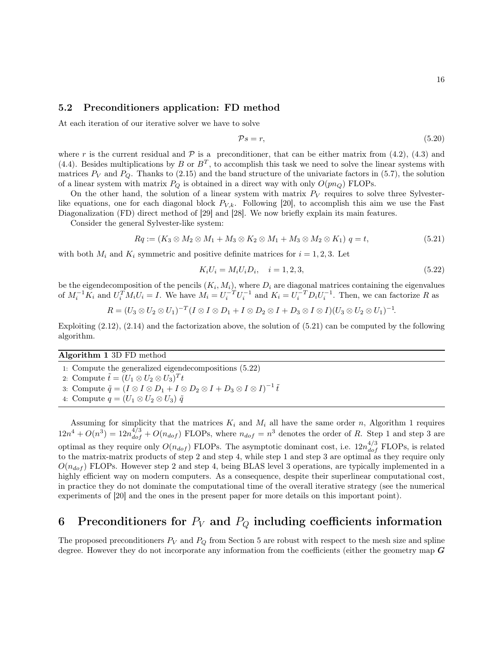#### 5.2 Preconditioners application: FD method

At each iteration of our iterative solver we have to solve

$$
\mathcal{P}s = r,\tag{5.20}
$$

where r is the current residual and  $P$  is a preconditioner, that can be either matrix from (4.2), (4.3) and (4.4). Besides multiplications by B or  $B<sup>T</sup>$ , to accomplish this task we need to solve the linear systems with matrices  $P_V$  and  $P_Q$ . Thanks to (2.15) and the band structure of the univariate factors in (5.7), the solution of a linear system with matrix  $P_Q$  is obtained in a direct way with only  $O(pn_Q)$  FLOPs.

On the other hand, the solution of a linear system with matrix  $P_V$  requires to solve three Sylvesterlike equations, one for each diagonal block  $P_{V,k}$ . Following [20], to accomplish this aim we use the Fast Diagonalization (FD) direct method of [29] and [28]. We now briefly explain its main features.

Consider the general Sylvester-like system:

$$
Rq := (K_3 \otimes M_2 \otimes M_1 + M_3 \otimes K_2 \otimes M_1 + M_3 \otimes M_2 \otimes K_1) \quad q = t,\tag{5.21}
$$

with both  $M_i$  and  $K_i$  symmetric and positive definite matrices for  $i = 1, 2, 3$ . Let

$$
K_i U_i = M_i U_i D_i, \quad i = 1, 2, 3,
$$
\n
$$
(5.22)
$$

be the eigendecomposition of the pencils  $(K_i, M_i)$ , where  $D_i$  are diagonal matrices containing the eigenvalues of  $M_i^{-1}K_i$  and  $U_i^T M_i U_i = I$ . We have  $M_i = U_i^{-T} U_i^{-1}$  and  $K_i = U_i^{-T} D_i U_i^{-1}$ . Then, we can factorize R as

$$
R = (U_3 \otimes U_2 \otimes U_1)^{-T} (I \otimes I \otimes D_1 + I \otimes D_2 \otimes I + D_3 \otimes I \otimes I)(U_3 \otimes U_2 \otimes U_1)^{-1}.
$$

Exploiting (2.12), (2.14) and the factorization above, the solution of (5.21) can be computed by the following algorithm.

#### Algorithm 1 3D FD method

- 1: Compute the generalized eigendecompositions (5.22)
- 2: Compute  $\tilde{t} = (U_1 \otimes U_2 \otimes U_3)^T t$
- 3: Compute  $\tilde{q} = (I \otimes I \otimes D_1 + I \otimes D_2 \otimes I + D_3 \otimes I \otimes I)^{-1} \tilde{t}$
- 4: Compute  $q = (U_1 \otimes U_2 \otimes U_3) \tilde{q}$

Assuming for simplicity that the matrices  $K_i$  and  $M_i$  all have the same order n, Algorithm 1 requires  $12n^4 + O(n^3) = 12n_{dof}^{4/3} + O(n_{dof})$  FLOPs, where  $n_{dof} = n^3$  denotes the order of R. Step 1 and step 3 are optimal as they require only  $O(n_{dof})$  FLOPs. The asymptotic dominant cost, i.e.  $12n_{dof}^{4/3}$  FLOPs, is related to the matrix-matrix products of step 2 and step 4, while step 1 and step 3 are optimal as they require only  $O(n_{dof})$  FLOPs. However step 2 and step 4, being BLAS level 3 operations, are typically implemented in a highly efficient way on modern computers. As a consequence, despite their superlinear computational cost, in practice they do not dominate the computational time of the overall iterative strategy (see the numerical experiments of [20] and the ones in the present paper for more details on this important point).

# 6 Preconditioners for  $P_V$  and  $P_Q$  including coefficients information

The proposed preconditioners  $P_V$  and  $P_Q$  from Section 5 are robust with respect to the mesh size and spline degree. However they do not incorporate any information from the coefficients (either the geometry map G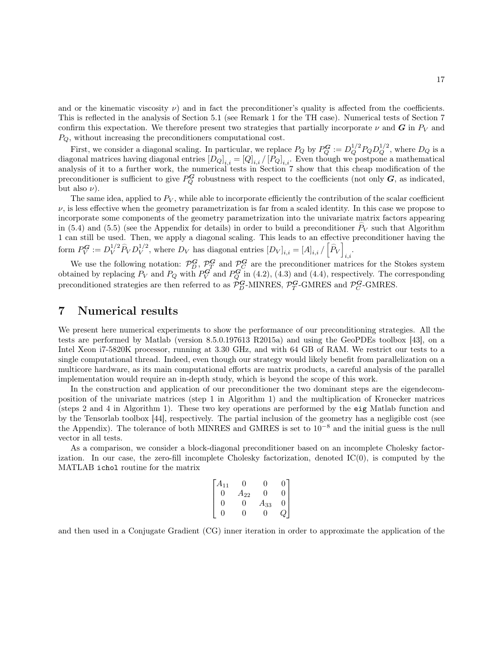and or the kinematic viscosity  $\nu$ ) and in fact the preconditioner's quality is affected from the coefficients. This is reflected in the analysis of Section 5.1 (see Remark 1 for the TH case). Numerical tests of Section 7 confirm this expectation. We therefore present two strategies that partially incorporate  $\nu$  and G in  $P_V$  and  $P_Q$ , without increasing the preconditioners computational cost.

First, we consider a diagonal scaling. In particular, we replace  $P_Q$  by  $P_Q^G := D_Q^{1/2} P_Q D_Q^{1/2}$ , where  $D_Q$  is a diagonal matrices having diagonal entries  $[D_Q]_{i,i} = [Q]_{i,i} / [P_Q]_{i,i}$ . Even though we postpone a mathematical analysis of it to a further work, the numerical tests in Section 7 show that this cheap modification of the preconditioner is sufficient to give  $P_Q^G$  robustness with respect to the coefficients (not only  $G$ , as indicated, but also  $\nu$ ).

The same idea, applied to  $P_V$ , while able to incorporate efficiently the contribution of the scalar coefficient  $\nu$ , is less effective when the geometry parametrization is far from a scaled identity. In this case we propose to incorporate some components of the geometry parametrization into the univariate matrix factors appearing in (5.4) and (5.5) (see the Appendix for details) in order to build a preconditioner  $\hat{P}_V$  such that Algorithm 1 can still be used. Then, we apply a diagonal scaling. This leads to an effective preconditioner having the form  $P_V^G := D_V^{1/2}$ V  $\widehat{P}_V D_V^{1/2}$  $V^{1/2}$ , where  $D_V$  has diagonal entries  $[D_V]_{i,i} = [A]_{i,i}/|\widehat{P}_V|$  $\sum_{i,i}$ 

We use the following notation:  $\mathcal{P}_D^G$ ,  $\mathcal{P}_T^G$  and  $\mathcal{P}_C^G$  are the preconditioner matrices for the Stokes system obtained by replacing  $P_V$  and  $P_Q$  with  $P_V^G$  and  $P_Q^G$  in (4.2), (4.3) and (4.4), respectively. The corresponding preconditioned strategies are then referred to as  $\mathcal{P}_{D}^{\mathbf{G}}$ -MINRES,  $\mathcal{P}_{T}^{\mathbf{G}}$ -GMRES and  $\mathcal{P}_{C}^{\mathbf{G}}$ -GMRES.

### 7 Numerical results

We present here numerical experiments to show the performance of our preconditioning strategies. All the tests are performed by Matlab (version 8.5.0.197613 R2015a) and using the GeoPDEs toolbox [43], on a Intel Xeon i7-5820K processor, running at 3.30 GHz, and with 64 GB of RAM. We restrict our tests to a single computational thread. Indeed, even though our strategy would likely benefit from parallelization on a multicore hardware, as its main computational efforts are matrix products, a careful analysis of the parallel implementation would require an in-depth study, which is beyond the scope of this work.

In the construction and application of our preconditioner the two dominant steps are the eigendecomposition of the univariate matrices (step 1 in Algorithm 1) and the multiplication of Kronecker matrices (steps 2 and 4 in Algorithm 1). These two key operations are performed by the eig Matlab function and by the Tensorlab toolbox [44], respectively. The partial inclusion of the geometry has a negligible cost (see the Appendix). The tolerance of both MINRES and GMRES is set to 10<sup>−</sup><sup>8</sup> and the initial guess is the null vector in all tests.

As a comparison, we consider a block-diagonal preconditioner based on an incomplete Cholesky factorization. In our case, the zero-fill incomplete Cholesky factorization, denoted IC(0), is computed by the MATLAB ichol routine for the matrix

$$
\begin{bmatrix} A_{11} & 0 & 0 & 0 \\ 0 & A_{22} & 0 & 0 \\ 0 & 0 & A_{33} & 0 \\ 0 & 0 & 0 & Q \end{bmatrix}
$$

and then used in a Conjugate Gradient (CG) inner iteration in order to approximate the application of the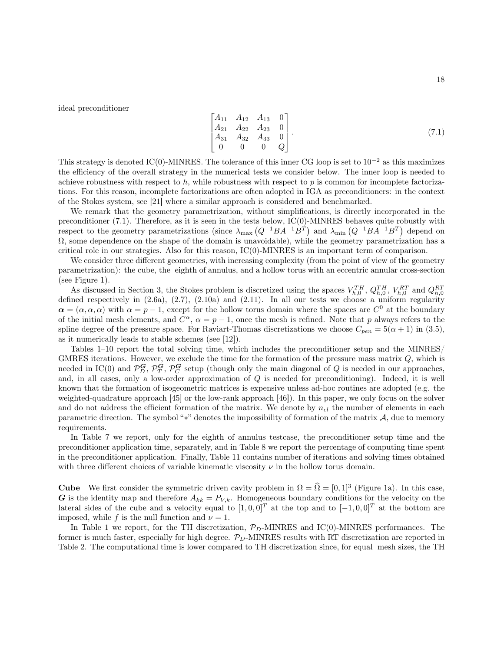ideal preconditioner

$$
\begin{bmatrix} A_{11} & A_{12} & A_{13} & 0 \\ A_{21} & A_{22} & A_{23} & 0 \\ A_{31} & A_{32} & A_{33} & 0 \\ 0 & 0 & 0 & Q \end{bmatrix}.
$$
 (7.1)

This strategy is denoted IC(0)-MINRES. The tolerance of this inner CG loop is set to  $10^{-2}$  as this maximizes the efficiency of the overall strategy in the numerical tests we consider below. The inner loop is needed to achieve robustness with respect to h, while robustness with respect to p is common for incomplete factorizations. For this reason, incomplete factorizations are often adopted in IGA as preconditioners: in the context of the Stokes system, see [21] where a similar approach is considered and benchmarked.

We remark that the geometry parametrization, without simplifications, is directly incorporated in the preconditioner (7.1). Therefore, as it is seen in the tests below, IC(0)-MINRES behaves quite robustly with respect to the geometry parametrizations (since  $\lambda_{\text{max}}(Q^{-1}BA^{-1}B^{T})$  and  $\lambda_{\text{min}}(Q^{-1}BA^{-1}B^{T})$  depend on  $\Omega$ , some dependence on the shape of the domain is unavoidable), while the geometry parametrization has a critical role in our strategies. Also for this reason,  $\rm IC(0)$ -MINRES is an important term of comparison.

We consider three different geometries, with increasing complexity (from the point of view of the geometry parametrization): the cube, the eighth of annulus, and a hollow torus with an eccentric annular cross-section (see Figure 1).

As discussed in Section 3, the Stokes problem is discretized using the spaces  $V_{h,0}^{TH}$ ,  $Q_{h,0}^{TH}$ ,  $V_{h,0}^{RT}$  and  $Q_{h,0}^{RT}$ defined respectively in  $(2.6a)$ ,  $(2.7)$ ,  $(2.10a)$  and  $(2.11)$ . In all our tests we choose a uniform regularity  $\alpha = (\alpha, \alpha, \alpha)$  with  $\alpha = p - 1$ , except for the hollow torus domain where the spaces are  $C^0$  at the boundary of the initial mesh elements, and  $C^{\alpha}$ ,  $\alpha = p - 1$ , once the mesh is refined. Note that p always refers to the spline degree of the pressure space. For Raviart-Thomas discretizations we choose  $C_{pen} = 5(\alpha + 1)$  in (3.5), as it numerically leads to stable schemes (see [12]).

Tables 1–10 report the total solving time, which includes the preconditioner setup and the MINRES/ GMRES iterations. However, we exclude the time for the formation of the pressure mass matrix Q, which is needed in IC(0) and  $\mathcal{P}_D^G$ ,  $\mathcal{P}_T^G$ ,  $\mathcal{P}_C^G$  setup (though only the main diagonal of Q is needed in our approaches, and, in all cases, only a low-order approximation of Q is needed for preconditioning). Indeed, it is well known that the formation of isogeometric matrices is expensive unless ad-hoc routines are adopted (e.g. the weighted-quadrature approach [45] or the low-rank approach [46]). In this paper, we only focus on the solver and do not address the efficient formation of the matrix. We denote by  $n_{el}$  the number of elements in each parametric direction. The symbol "\*" denotes the impossibility of formation of the matrix  $A$ , due to memory requirements.

In Table 7 we report, only for the eighth of annulus testcase, the preconditioner setup time and the preconditioner application time, separately, and in Table 8 we report the percentage of computing time spent in the preconditioner application. Finally, Table 11 contains number of iterations and solving times obtained with three different choices of variable kinematic viscosity  $\nu$  in the hollow torus domain.

**Cube** We first consider the symmetric driven cavity problem in  $\Omega = \hat{\Omega} = [0, 1]^3$  (Figure 1a). In this case, G is the identity map and therefore  $A_{kk} = P_{V,k}$ . Homogeneous boundary conditions for the velocity on the lateral sides of the cube and a velocity equal to  $[1, 0, 0]^T$  at the top and to  $[-1, 0, 0]^T$  at the bottom are imposed, while f is the null function and  $\nu = 1$ .

In Table 1 we report, for the TH discretization,  $\mathcal{P}_D$ -MINRES and IC(0)-MINRES performances. The former is much faster, especially for high degree.  $\mathcal{P}_D$ -MINRES results with RT discretization are reported in Table 2. The computational time is lower compared to TH discretization since, for equal mesh sizes, the TH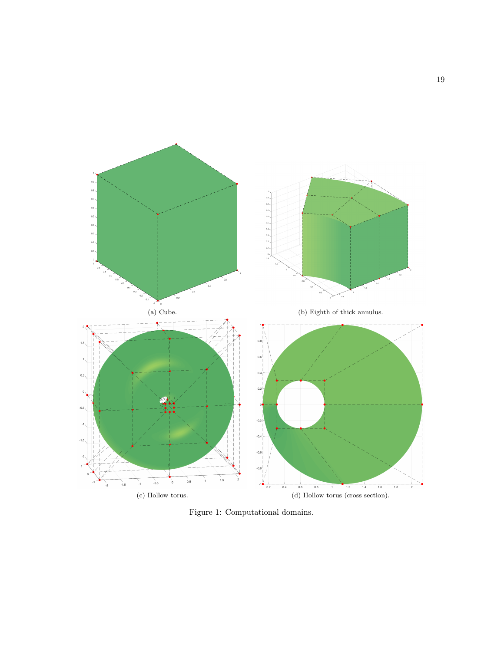

Figure 1: Computational domains.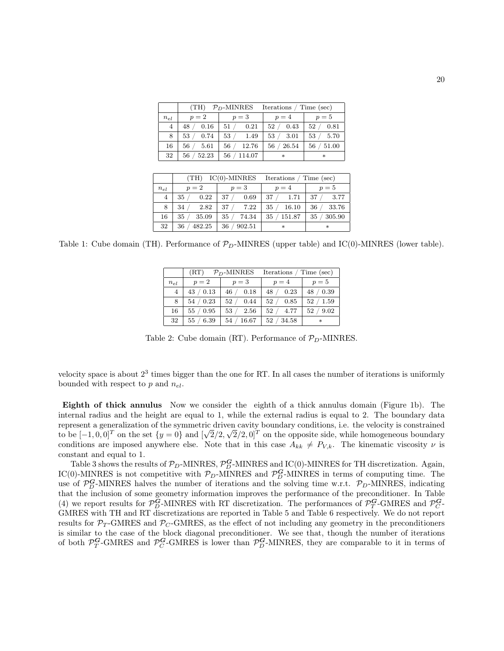|                | (TH)        | $PD$ -MINRES | Iterations / Time (sec) |        |
|----------------|-------------|--------------|-------------------------|--------|
| $n_{el}$       | $p=2$       | $p=3$        | $p=4$                   | $p=5$  |
| $\overline{4}$ | 48          | 0.21         | 0.43                    | 0.81   |
|                | 0.16        | 51/          | 52                      | 52     |
| 8              | 53          | 53/          | 53                      | 53     |
|                | 0.74        | 1.49         | 3.01                    | 5.70   |
| 16             | 56          | 12.76        | 26.54                   | 51.00  |
|                | 5.61        | 56           | 56                      | 56     |
| 32             | 52.23<br>56 | 114.07<br>56 | $\ast$                  | $\ast$ |

|                | (TH)         | $IC(0)$ -MINRES | Iterations / Time (sec) |        |
|----------------|--------------|-----------------|-------------------------|--------|
| $n_{el}$       | $p=2$        | $p=3$           | $p=4$                   | $p=5$  |
| $\overline{4}$ | 0.22         | 37              | 37/                     | 3.77   |
|                | 35           | 0.69            | 1.71                    | 37     |
| 8              | 2.82         | 7.22            | 35                      | 33.76  |
|                | 34           | 37              | 16.10                   | 36     |
| 16             | 35           | 35              | 151.87                  | 305.90 |
|                | 35.09        | 74.34           | 35                      | 35     |
| 32             | 482.25<br>36 | 902.51<br>36    | $\ast$                  | $\ast$ |

Table 1: Cube domain (TH). Performance of  $\mathcal{P}_D$ -MINRES (upper table) and IC(0)-MINRES (lower table).

|                | (RT)           | $P_D$ -MINRES | Iterations / Time (sec) |            |
|----------------|----------------|---------------|-------------------------|------------|
| $n_{el}$       | $p=2$          | $p=3$         | $p=4$                   | $p=5$      |
| $\overline{4}$ | 43/0.13        | 46 / 0.18     | 0.23<br>48              | 48 / 0.39  |
| 8              | 54 / 0.23      | 52 / 0.44     | 52/<br>0.85             | 52 / 1.59  |
| 16             | $/$ 0.95<br>55 | 2.56<br>53/   | 52/<br>4.77             | 9.02<br>52 |
| 32             | 6.39<br>55     | 16.67<br>54/  | 34.58<br>52/            | *          |

Table 2: Cube domain (RT). Performance of  $\mathcal{P}_D$ -MINRES.

velocity space is about  $2<sup>3</sup>$  times bigger than the one for RT. In all cases the number of iterations is uniformly bounded with respect to  $p$  and  $n_{el}$ .

Eighth of thick annulus Now we consider the eighth of a thick annulus domain (Figure 1b). The internal radius and the height are equal to 1, while the external radius is equal to 2. The boundary data represent a generalization of the symmetric driven cavity boundary conditions, i.e. the velocity is constrained to be  $[-1,0,0]^T$  on the set  $\{y=0\}$  and  $[\sqrt{2}/2,\sqrt{2}/2,0]^T$  on the opposite side, while homogeneous boundary conditions are imposed anywhere else. Note that in this case  $A_{kk} \neq P_{V,k}$ . The kinematic viscosity  $\nu$  is constant and equal to 1.

Table 3 shows the results of  $\mathcal{P}_D$ -MINRES,  $\mathcal{P}_D^G$ -MINRES and IC(0)-MINRES for TH discretization. Again, IC(0)-MINRES is not competitive with  $P_D$ -MINRES and  $\mathcal{P}_D^G$ -MINRES in terms of computing time. The use of  $\mathcal{P}_D^G$ -MINRES halves the number of iterations and the solving time w.r.t.  $\mathcal{P}_D$ -MINRES, indicating that the inclusion of some geometry information improves the performance of the preconditioner. In Table (4) we report results for  $\mathcal{P}_{D}^{\mathbf{G}}$ -MINRES with RT discretization. The performances of  $\mathcal{P}_{T}^{\mathbf{G}}$ -GMRES and  $\mathcal{P}_{C}^{\mathbf{G}}$ -GMRES with TH and RT discretizations are reported in Table 5 and Table 6 respectively. We do not report results for  $\mathcal{P}_T$ -GMRES and  $\mathcal{P}_C$ -GMRES, as the effect of not including any geometry in the preconditioners is similar to the case of the block diagonal preconditioner. We see that, though the number of iterations of both  $\mathcal{P}_T^G$ -GMRES and  $\mathcal{P}_C^G$ -GMRES is lower than  $\mathcal{P}_D^G$ -MINRES, they are comparable to it in terms of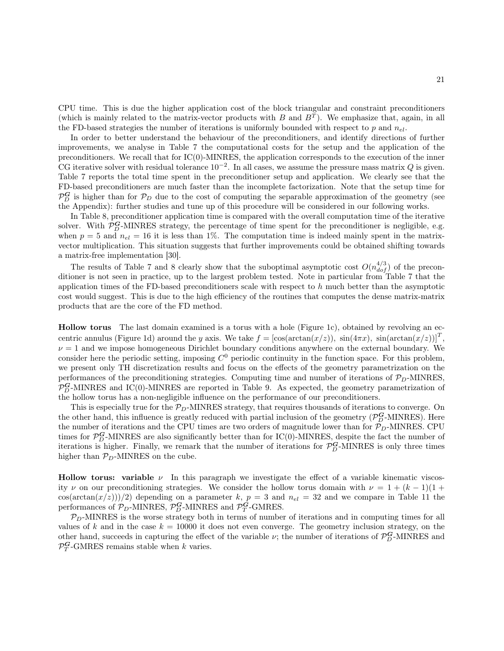CPU time. This is due the higher application cost of the block triangular and constraint preconditioners (which is mainly related to the matrix-vector products with  $B$  and  $B<sup>T</sup>$ ). We emphasize that, again, in all the FD-based strategies the number of iterations is uniformly bounded with respect to p and  $n_{el}$ .

In order to better understand the behaviour of the preconditioners, and identify directions of further improvements, we analyse in Table 7 the computational costs for the setup and the application of the preconditioners. We recall that for IC(0)-MINRES, the application corresponds to the execution of the inner CG iterative solver with residual tolerance  $10^{-2}$ . In all cases, we assume the pressure mass matrix Q is given. Table 7 reports the total time spent in the preconditioner setup and application. We clearly see that the FD-based preconditioners are much faster than the incomplete factorization. Note that the setup time for  $\mathcal{P}_D^G$  is higher than for  $\mathcal{P}_D$  due to the cost of computing the separable approximation of the geometry (see the Appendix): further studies and tune up of this procedure will be considered in our following works.

In Table 8, preconditioner application time is compared with the overall computation time of the iterative solver. With  $\mathcal{P}_{D}^G$ -MINRES strategy, the percentage of time spent for the preconditioner is negligible, e.g. when  $p = 5$  and  $n_{el} = 16$  it is less than 1%. The computation time is indeed mainly spent in the matrixvector multiplication. This situation suggests that further improvements could be obtained shifting towards a matrix-free implementation [30].

The results of Table 7 and 8 clearly show that the suboptimal asymptotic cost  $O(n_{dof}^{4/3})$  of the preconditioner is not seen in practice, up to the largest problem tested. Note in particular from Table 7 that the application times of the FD-based preconditioners scale with respect to  $h$  much better than the asymptotic cost would suggest. This is due to the high efficiency of the routines that computes the dense matrix-matrix products that are the core of the FD method.

Hollow torus The last domain examined is a torus with a hole (Figure 1c), obtained by revolving an eccentric annulus (Figure 1d) around the y axis. We take  $f = [\cos(\arctan(x/z))$ ,  $\sin(4\pi x)$ ,  $\sin(\arctan(x/z))]^T$ ,  $\nu = 1$  and we impose homogeneous Dirichlet boundary conditions anywhere on the external boundary. We consider here the periodic setting, imposing  $C^0$  periodic continuity in the function space. For this problem, we present only TH discretization results and focus on the effects of the geometry parametrization on the performances of the preconditioning strategies. Computing time and number of iterations of  $\mathcal{P}_D$ -MINRES,  $\mathcal{P}_D^G$ -MINRES and IC(0)-MINRES are reported in Table 9. As expected, the geometry parametrization of the hollow torus has a non-negligible influence on the performance of our preconditioners.

This is especially true for the  $P_D$ -MINRES strategy, that requires thousands of iterations to converge. On the other hand, this influence is greatly reduced with partial inclusion of the geometry ( $\mathcal{P}_D^G$ -MINRES). Here the number of iterations and the CPU times are two orders of magnitude lower than for  $\mathcal{P}_D$ -MINRES. CPU times for  $\mathcal{P}_{D}^G$ -MINRES are also significantly better than for IC(0)-MINRES, despite the fact the number of iterations is higher. Finally, we remark that the number of iterations for  $\mathcal{P}_{D}^{\mathbf{G}}$ -MINRES is only three times higher than  $P_D$ -MINRES on the cube.

**Hollow torus:** variable  $\nu$  In this paragraph we investigate the effect of a variable kinematic viscosity v on our preconditioning strategies. We consider the hollow torus domain with  $\nu = 1 + (k - 1)(1 +$  $\cos(\arctan(x/z))/2$  depending on a parameter k,  $p = 3$  and  $n_{el} = 32$  and we compare in Table 11 the performances of  $\mathcal{P}_D$ -MINRES,  $\mathcal{P}_D^G$ -MINRES and  $\mathcal{P}_T^G$ -GMRES.

 $P_D$ -MINRES is the worse strategy both in terms of number of iterations and in computing times for all values of k and in the case  $k = 10000$  it does not even converge. The geometry inclusion strategy, on the other hand, succeeds in capturing the effect of the variable  $\nu$ ; the number of iterations of  $\mathcal{P}_D^G$ -MINRES and  $\mathcal{P}_T^{\mathbf{G}}$ -GMRES remains stable when k varies.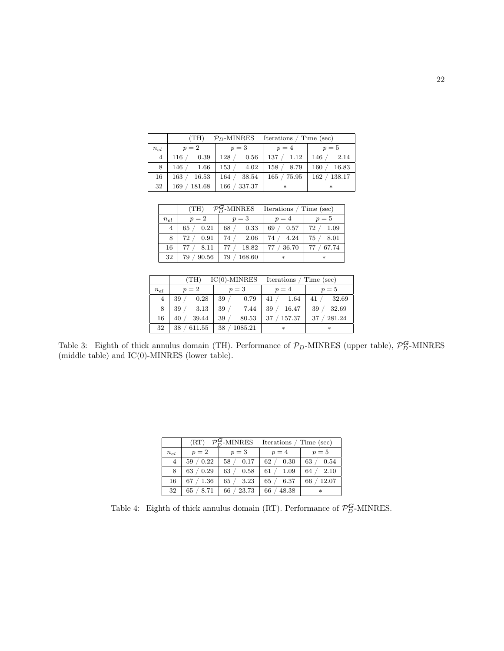|                | (TH)          | $P_D$ -MINRES | Iterations / Time (sec) |        |
|----------------|---------------|---------------|-------------------------|--------|
| $n_{el}$       | $p=2$         | $p=3$         | $p=4$                   | $p=5$  |
| $\overline{4}$ | 116           | 128           | 137                     | 146    |
|                | 0.39          | 0.56          | 1.12                    | 2.14   |
| 8              | 146           | 153           | 158                     | 16.83  |
|                | 1.66          | 4.02          | 8.79                    | 160    |
| 16             | 163           | 38.54         | 75.95                   | 138.17 |
|                | 16.53         | 164           | 165                     | 162    |
| 32             | 181.68<br>169 | 337.37<br>166 | $\ast$                  | $\ast$ |

|                | (TH)        | $\mathcal{P}_D^G$ -MINRES Iterations / Time (sec) |              |              |
|----------------|-------------|---------------------------------------------------|--------------|--------------|
| $n_{el}$       | $p=2$       | $p=3$                                             | $p=4$        | $p=5$        |
| $\overline{4}$ | 0.21<br>65  | 68/<br>0.33                                       | 0.57<br>69   | 72 / 1.09    |
| 8              | 0.91<br>72  | 74/<br>2.06                                       | 4.24<br>74/  | 75/<br>8.01  |
| 16             | 8.11        | 18.82<br>77/                                      | 36.70<br>77/ | 77/<br>67.74 |
| 32             | 90.56<br>79 | 168.60<br>79                                      | $\ast$       | $\ast$       |

|                | (TH)         | $IC(0)$ -MINRES | Iterations | Time (sec) |
|----------------|--------------|-----------------|------------|------------|
| $n_{el}$       | $p=2$        | $p=3$           | $p=4$      | $p=5$      |
| $\overline{4}$ | 0.28         | 39              | 1.64       | 32.69      |
|                | 39           | 0.79            | 41         | 41         |
| 8              | 3.13         | 39              | 39         | 32.69      |
|                | 39           | 7.44            | 16.47      | 39         |
| 16             | 39.44        | 39              | 157.37     | 281.24     |
|                | 40           | 80.53           | 37         | 37         |
| 32             | 611.55<br>38 | 1085.21<br>38   | $\ast$     | $\ast$     |

Table 3: Eighth of thick annulus domain (TH). Performance of  $\mathcal{P}_D$ -MINRES (upper table),  $\mathcal{P}_D^G$ -MINRES (middle table) and IC(0)-MINRES (lower table).

|                |            |             | $(RT)$ $\mathcal{P}_D^G$ -MINRES Iterations / Time (sec) |              |
|----------------|------------|-------------|----------------------------------------------------------|--------------|
| $n_{el}$       | $p=2$      | $p=3$       | $p=4$                                                    | $p=5$        |
| $\overline{4}$ | 59/0.22    | 58 / 0.17   | 62 / 0.30                                                | 0.54<br>63/  |
| 8              | 63 / 0.29  | 63/<br>0.58 | 61 / 1.09                                                | 2.10<br>64/  |
| 16             | 67 / 1.36  | 65/<br>3.23 | 65 / 6.37                                                | 12.07<br>66/ |
| 32             | 65<br>8.71 | 23.73<br>66 | 48.38<br>66                                              | $\ast$       |

Table 4: Eighth of thick annulus domain (RT). Performance of  $\mathcal{P}_{D}^{\mathbf{G}}$ -MINRES.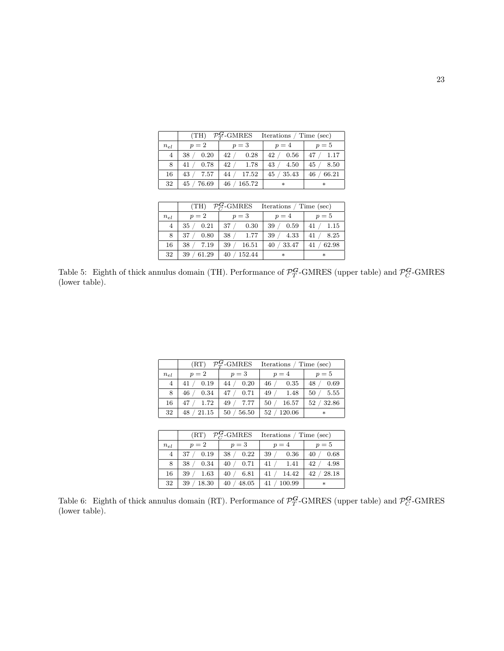|                |                                  | (TH) $\mathcal{P}_T^G$ -GMRES Iterations / Time (sec) |            |             |  |  |
|----------------|----------------------------------|-------------------------------------------------------|------------|-------------|--|--|
| $n_{el}$       | $p=2$                            | $p=3$                                                 | $p=4$      | $p=5$       |  |  |
| $\overline{4}$ | $\angle 0.20$<br>38 <sub>1</sub> | 42 / 0.28                                             | 42 / 0.56  | 47 / 1.17   |  |  |
| 8              | 0.78<br>41                       | 42 / 1.78                                             | 43 / 4.50  | 45/<br>8.50 |  |  |
| 16             | 43 / 7.57                        | 44/<br>$'$ 17.52                                      | 45 / 35.43 | 66.21<br>46 |  |  |
| 32             | 45 / 76.69                       | 165.72<br>46                                          | $\ast$     | $\ast$      |  |  |

|                | $\mathcal{P}_{G}^{G}$ -GMRES<br>(TH)<br>Iterations / Time (sec) |              |                |                                                                                             |  |
|----------------|-----------------------------------------------------------------|--------------|----------------|---------------------------------------------------------------------------------------------|--|
| $n_{el}$       | $p=2$                                                           | $p=3$        | $p=4$          | $p=5$                                                                                       |  |
| $\overline{4}$ | 0.21<br>35                                                      | 37/<br>0.30  | 0.59<br>39     | 41/<br>$\!\!\!\!\begin{array}{c} \text{-}\!\!\! \phantom{\!}1.15 \end{array}\!\!\!\!\!\!\!$ |  |
| 8              | 37<br>0.80                                                      | 38/<br>1.77  | 4.33<br>39     | 41 / 8.25                                                                                   |  |
| 16             | 38<br>7.19                                                      | 39<br>16.51  | ' 33.47<br>40/ | 62.98<br>41/                                                                                |  |
| 32             | 61.29<br>39                                                     | 152.44<br>40 | $\ast$         | $\ast$                                                                                      |  |

Table 5: Eighth of thick annulus domain (TH). Performance of  $\mathcal{P}_T^G$ -GMRES (upper table) and  $\mathcal{P}_C^G$ -GMRES (lower table).

|                |            |                           | $(RT)$ $\mathcal{P}_T^G$ -GMRES Iterations / Time (sec) |            |
|----------------|------------|---------------------------|---------------------------------------------------------|------------|
| $n_{el}$       | $p=2$      | $p=3$                     | $p=4$                                                   | $p=5$      |
| $\overline{4}$ | 41 / 0.19  | 44 / 0.20                 | 46 / 0.35                                               | 48 / 0.69  |
| 8              | 46<br>0.34 | 47 / 0.71                 | 49 / 1.48                                               | 50 / 5.55  |
| 16             | 47 / 1.72  | 49 / 7.77                 | 50 / 16.57                                              | 52 / 32.86 |
| 32             |            | $48 / 21.15$   50 / 56.50 | 52 / 120.06                                             | $\ast$     |

|                | (RT)        | $\mathcal{P}_{G}^{\mathbf{G}}$ -GMRES | Iterations / Time (sec) |               |
|----------------|-------------|---------------------------------------|-------------------------|---------------|
| $n_{el}$       | $p=2$       | $p=3$                                 | $p=4$                   | $p=5$         |
| $\overline{4}$ | 37          | 38/                                   | 39/                     | $\sqrt{0.68}$ |
|                | 0.19        | 0.22                                  | $0.36\,$                | 40            |
| 8              | 38          | 40/                                   | 41/                     | 42            |
|                | 0.34        | 0.71                                  | - 1.41                  | 4.98          |
| 16             | 39          | 6.81                                  | 14.42                   | 28.18         |
|                | 1.63        | 40/                                   | 41/                     | 42            |
| 32             | 18.30<br>39 | 48.05<br>40                           | 41 / 100.99             | $\ast$        |

Table 6: Eighth of thick annulus domain (RT). Performance of  $\mathcal{P}_T^G$ -GMRES (upper table) and  $\mathcal{P}_C^G$ -GMRES (lower table).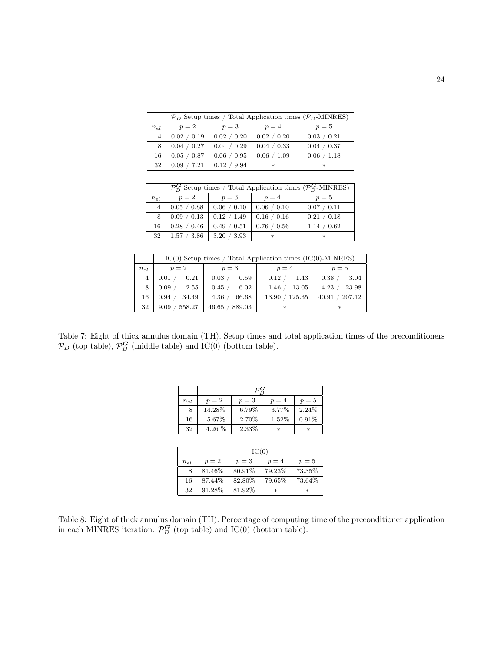|                | $\mathcal{P}_D$ Setup times / Total Application times ( $\mathcal{P}_D$ -MINRES) |             |             |             |  |
|----------------|----------------------------------------------------------------------------------|-------------|-------------|-------------|--|
| $n_{el}$       | $p=2$                                                                            | $p=3$       | $p=4$       | $p=5$       |  |
| $\overline{4}$ | 0.02 / 0.19                                                                      | 0.02 / 0.20 | 0.02 / 0.20 | 0.03 / 0.21 |  |
| 8              | 0.04 / 0.27                                                                      | 0.04 / 0.29 | 0.04 / 0.33 | 0.04 / 0.37 |  |
| 16             | 0.05 / 0.87                                                                      | 0.06 / 0.95 | 0.06 / 1.09 | 0.06 / 1.18 |  |
| 32             | /7.21<br>0.09                                                                    | 0.12 / 9.94 | $\ast$      | $\ast$      |  |

|                | $\mathcal{P}_{D}^{G}$ Setup times / Total Application times ( $\mathcal{P}_{D}^{G}$ -MINRES) |             |             |             |  |  |
|----------------|----------------------------------------------------------------------------------------------|-------------|-------------|-------------|--|--|
| $n_{el}$       | $p=2$                                                                                        | $p=3$       | $p=4$       | $p=5$       |  |  |
| $\overline{4}$ | 0.05 / 0.88                                                                                  | 0.06 / 0.10 | 0.06 / 0.10 | 0.07 / 0.11 |  |  |
| 8              | 0.09 / 0.13                                                                                  | 0.12 / 1.49 | 0.16 / 0.16 | 0.21 / 0.18 |  |  |
| 16             | 0.28 / 0.46                                                                                  | 0.49 / 0.51 | 0.76 / 0.56 | 1.14 / 0.62 |  |  |
| 32             | 1.57 / 3.86                                                                                  | 3.20 / 3.93 | $\ast$      | $\ast$      |  |  |

|          | $IC(0)$ Setup times / Total Application times $(IC(0)$ -MINRES) |                 |        |        |  |
|----------|-----------------------------------------------------------------|-----------------|--------|--------|--|
| $n_{el}$ | $p=2$                                                           | $p=3$           | $p=4$  | $p=5$  |  |
| 4        | 0.21                                                            | 0.03            | 1.43   | 0.38   |  |
|          | 0.01                                                            | 0.59            | 0.12   | 3.04   |  |
| 8        | 0.09                                                            | 0.45            | 1.46   | 23.98  |  |
|          | 2.55                                                            | 6.02            | 13.05  | 4.23   |  |
| 16       | 0.94                                                            | 4.36            | 125.35 | 207.12 |  |
|          | 34.49                                                           | 66.68           | 13.90  | 40.91  |  |
| 32       | 558.27<br>9.09                                                  | 46.65<br>889.03 | $\ast$ | $\ast$ |  |

Table 7: Eight of thick annulus domain (TH). Setup times and total application times of the preconditioners  $\mathcal{P}_D$  (top table),  $\mathcal{P}_D^G$  (middle table) and IC(0) (bottom table).

| $n_{el}$ | $p=2$    | $p=3$ | $p=4$  | $p=5$  |  |
|----------|----------|-------|--------|--------|--|
| 8        | 14.28%   | 6.79% | 3.77%  | 2.24\% |  |
| 16       | 5.67%    | 2.70% | 1.52%  | 0.91%  |  |
| 32       | $4.26\%$ | 2.33% | $\ast$ | $\ast$ |  |

|          | IC(0)  |        |        |        |  |
|----------|--------|--------|--------|--------|--|
| $n_{el}$ | $p=2$  | $p=3$  | $p=4$  | $p=5$  |  |
| 8        | 81.46% | 80.91% | 79.23% | 73.35% |  |
| 16       | 87.44% | 82.80% | 79.65% | 73.64% |  |
| 32       | 91.28% | 81.92% | $\ast$ | $\ast$ |  |

Table 8: Eight of thick annulus domain (TH). Percentage of computing time of the preconditioner application in each MINRES iteration:  $\mathcal{P}_{D}^{G}$  (top table) and IC(0) (bottom table).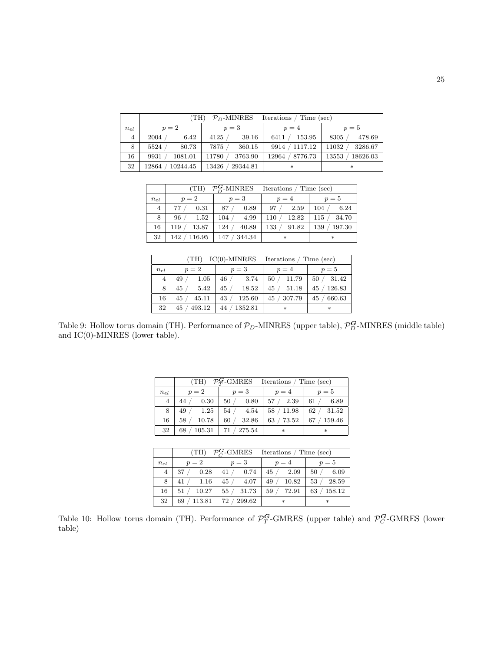|                | (TH)<br>$P_D$ -MINRES<br>Iterations<br>/ Time (sec) |                   |                    |                   |  |
|----------------|-----------------------------------------------------|-------------------|--------------------|-------------------|--|
| $n_{el}$       | $p=2$                                               | $p=3$             | $p=4$              | $p=5$             |  |
| $\overline{4}$ | 6.42<br>2004                                        | 4125<br>39.16     | 153.95<br>6411     | 478.69<br>8305    |  |
| 8              | 5524<br>80.73                                       | 7875<br>360.15    | 9914 / 1117.12     | 3286.67<br>11032  |  |
| 16             | 9931<br>1081.01                                     | 11780<br>3763.90  | 8776.73<br>12964 / | 18626.03<br>13553 |  |
| 32             | 10244.45<br>12864                                   | 13426<br>29344.81 | $\ast$             | $\ast$            |  |

|                | $\mathcal{P}_D^G$ -MINRES Iterations / Time (sec)<br>(TH) |               |               |                |  |
|----------------|-----------------------------------------------------------|---------------|---------------|----------------|--|
| $n_{el}$       | $p=2$                                                     | $p=3$         | $p=4$         | $p=5$          |  |
| $\overline{4}$ | 0.31<br>77                                                | 0.89<br>87    | 97/<br>2.59   | 6.24<br>104    |  |
| 8              | 96/<br>1.52                                               | 104/<br>4.99  | 12.82<br>110/ | 34.70<br>115/  |  |
| 16             | 119 / 13.87                                               | 124/<br>40.89 | 133/<br>91.82 | 197.30<br>139/ |  |
| 32             | 142 / 116.95                                              | 147 / 344.34  | $\ast$        | $\ast$         |  |

|          | (TH)         | $IC(0)$ -MINRES | Iterations   | Time (sec)   |
|----------|--------------|-----------------|--------------|--------------|
| $n_{el}$ | $p=2$        | $p=3$           | $p=4$        | $p=5$        |
| 4        | 1.05<br>49   | 46<br>3.74      | 11.79<br>50  | 31.42<br>50  |
| 8        | 45<br>5.42   | 18.52<br>45     | 45<br>51.18  | 126.83<br>45 |
| 16       | 45<br>45.11  | 43<br>125.60    | 307.79<br>45 | 660.63<br>45 |
| 32       | 493.12<br>45 | 1352.81<br>44   | $\ast$       | $\ast$       |

Table 9: Hollow torus domain (TH). Performance of  $\mathcal{P}_D$ -MINRES (upper table),  $\mathcal{P}_D^G$ -MINRES (middle table) and IC(0)-MINRES (lower table).

|                | $\mathcal{P}_T^{\mathbf{G}}$ -GMRES Iterations / Time (sec)<br>(TH) |                               |            |              |  |
|----------------|---------------------------------------------------------------------|-------------------------------|------------|--------------|--|
| $n_{el}$       | $p=2$                                                               | $p=3$                         | $p=4$      | $p=5$        |  |
| $\overline{4}$ | 0.30<br>44                                                          | 0.80<br>50/                   | 57 / 2.39  | 6.89<br>61   |  |
| 8              | 49<br>1.25                                                          | 54/<br>4.54                   | 58 / 11.98 | 62/<br>31.52 |  |
| 16             | 58/<br>10.78                                                        | 32.86<br>60/                  | 63 / 73.52 | 159.46<br>67 |  |
| 32             |                                                                     | 68 $/ 105.31$   71 $/ 275.54$ | $\ast$     | $\ast$       |  |

|                | $\mathcal{P}_C^{\mathbf{G}}$ -GMRES Iterations / Time (sec)<br>(TH) |           |        |        |  |
|----------------|---------------------------------------------------------------------|-----------|--------|--------|--|
| $n_{el}$       | $p=2$                                                               | $p=3$     | $p=4$  | $p=5$  |  |
| $\overline{4}$ | 0.28                                                                | 0.74      | 45     | 6.09   |  |
|                | 37                                                                  | 41        | 2.09   | 50     |  |
| 8              | 41                                                                  | 45        | 10.82  | 28.59  |  |
|                | 1.16                                                                | 4.07      | 49     | 53     |  |
| 16             | 10.27                                                               | 55/       | 72.91  | 158.12 |  |
|                | 51                                                                  | 31.73     | 59     | 63     |  |
| 32             | 113.81<br>69                                                        | 72/299.62 | $\ast$ | $\ast$ |  |

Table 10: Hollow torus domain (TH). Performance of  $\mathcal{P}_T^G$ -GMRES (upper table) and  $\mathcal{P}_C^G$ -GMRES (lower table)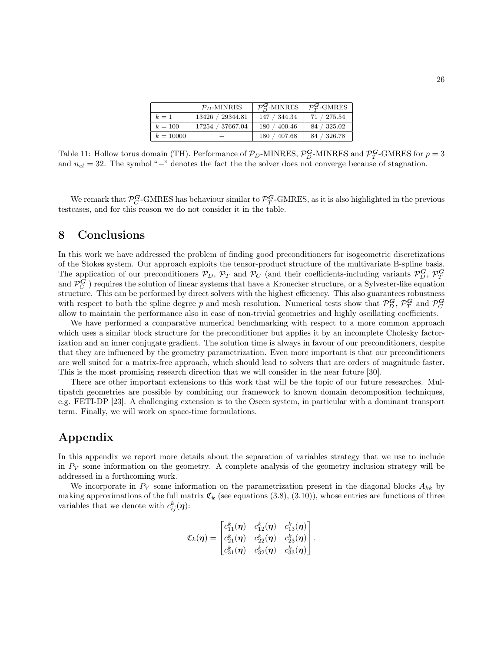|             | $PD$ -MINRES     | $\mathcal{P}_{D}^{G}$ -MINRES | $\mathcal{P}_{T}^{\mathbf{G}}$ -GMRES |
|-------------|------------------|-------------------------------|---------------------------------------|
| $k=1$       | 13426 / 29344.81 | 147 / 344.34                  | 71 / 275.54                           |
| $k=100$     | 17254 / 37667.04 | 180 / 400.46                  | 84 / 325.02                           |
| $k = 10000$ |                  | 180 / 407.68                  | 84 / 326.78                           |

Table 11: Hollow torus domain (TH). Performance of  $\mathcal{P}_D$ -MINRES,  $\mathcal{P}_D^G$ -MINRES and  $\mathcal{P}_T^G$ -GMRES for  $p=3$ and  $n_{el} = 32$ . The symbol "−" denotes the fact the the solver does not converge because of stagnation.

We remark that  $\mathcal{P}_C^G$ -GMRES has behaviour similar to  $\mathcal{P}_T^G$ -GMRES, as it is also highlighted in the previous testcases, and for this reason we do not consider it in the table.

# 8 Conclusions

In this work we have addressed the problem of finding good preconditioners for isogeometric discretizations of the Stokes system. Our approach exploits the tensor-product structure of the multivariate B-spline basis. The application of our preconditioners  $\mathcal{P}_D$ ,  $\mathcal{P}_T$  and  $\mathcal{P}_C$  (and their coefficients-including variants  $\mathcal{P}_D^G$ ,  $\mathcal{P}_T^G$ and  $\mathcal{P}_C^G$ ) requires the solution of linear systems that have a Kronecker structure, or a Sylvester-like equation structure. This can be performed by direct solvers with the highest efficiency. This also guarantees robustness with respect to both the spline degree p and mesh resolution. Numerical tests show that  $\mathcal{P}_D^G$ ,  $\mathcal{P}_T^G$  and  $\mathcal{P}_C^G$ allow to maintain the performance also in case of non-trivial geometries and highly oscillating coefficients.

We have performed a comparative numerical benchmarking with respect to a more common approach which uses a similar block structure for the preconditioner but applies it by an incomplete Cholesky factorization and an inner conjugate gradient. The solution time is always in favour of our preconditioners, despite that they are influenced by the geometry parametrization. Even more important is that our preconditioners are well suited for a matrix-free approach, which should lead to solvers that are orders of magnitude faster. This is the most promising research direction that we will consider in the near future [30].

There are other important extensions to this work that will be the topic of our future researches. Multipatch geometries are possible by combining our framework to known domain decomposition techniques, e.g. FETI-DP [23]. A challenging extension is to the Oseen system, in particular with a dominant transport term. Finally, we will work on space-time formulations.

# Appendix

In this appendix we report more details about the separation of variables strategy that we use to include in  $P_V$  some information on the geometry. A complete analysis of the geometry inclusion strategy will be addressed in a forthcoming work.

We incorporate in  $P_V$  some information on the parametrization present in the diagonal blocks  $A_{kk}$  by making approximations of the full matrix  $\mathfrak{C}_k$  (see equations (3.8), (3.10)), whose entries are functions of three variables that we denote with  $c_{ij}^k(\boldsymbol{\eta})$ :

$$
\mathfrak{C}_k(\boldsymbol{\eta}) = \begin{bmatrix} c_{11}^k(\boldsymbol{\eta}) & c_{12}^k(\boldsymbol{\eta}) & c_{13}^k(\boldsymbol{\eta}) \\ c_{21}^k(\boldsymbol{\eta}) & c_{22}^k(\boldsymbol{\eta}) & c_{23}^k(\boldsymbol{\eta}) \\ c_{31}^k(\boldsymbol{\eta}) & c_{32}^k(\boldsymbol{\eta}) & c_{33}^k(\boldsymbol{\eta}) \end{bmatrix}.
$$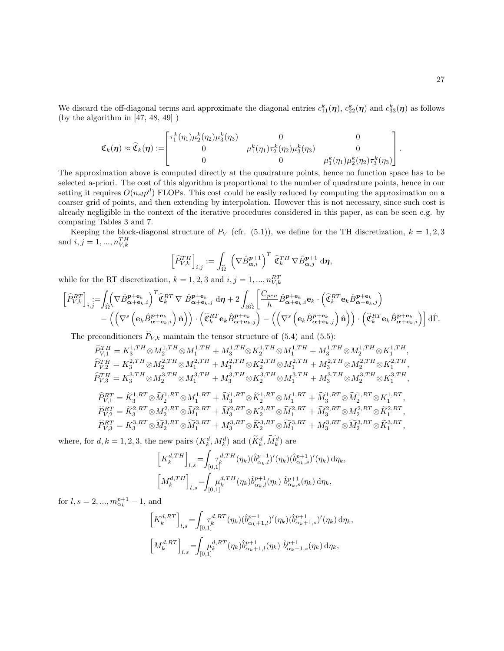We discard the off-diagonal terms and approximate the diagonal entries  $c_{11}^k(\eta)$ ,  $c_{22}^k(\eta)$  and  $c_{33}^k(\eta)$  as follows (by the algorithm in [47, 48, 49] )

$$
\mathfrak{C}_k(\boldsymbol{\eta}) \approx \widehat{\mathfrak{C}}_k(\boldsymbol{\eta}) := \begin{bmatrix} \tau_1^k(\eta_1) \mu_2^k(\eta_2) \mu_3^k(\eta_3) & 0 & 0 \\ 0 & \mu_1^k(\eta_1) \tau_2^k(\eta_2) \mu_3^k(\eta_3) & 0 \\ 0 & 0 & \mu_1^k(\eta_1) \mu_2^k(\eta_2) \tau_3^k(\eta_3) \end{bmatrix}.
$$

The approximation above is computed directly at the quadrature points, hence no function space has to be selected a-priori. The cost of this algorithm is proportional to the number of quadrature points, hence in our setting it requires  $O(n_{el}p^d)$  FLOPs. This cost could be easily reduced by computing the approximation on a coarser grid of points, and then extending by interpolation. However this is not necessary, since such cost is already negligible in the context of the iterative procedures considered in this paper, as can be seen e.g. by comparing Tables 3 and 7.

Keeping the block-diagonal structure of  $P_V$  (cfr. (5.1)), we define for the TH discretization,  $k = 1, 2, 3$ and  $i, j = 1, ..., n_{V,k}^{TH}$ 

$$
\left[\widehat{P}_{V,k}^{TH}\right]_{i,j}:=\int_{\widehat{\Omega}}\; \left(\nabla \hat{B}_{\boldsymbol{\alpha},i}^{p+1}\right)^T\, \widehat{\mathfrak{C}}_k^{TH}\, \nabla \hat{B}_{\boldsymbol{\alpha},j}^{p+1}\; \mathrm{d}\boldsymbol{\eta},
$$

while for the RT discretization,  $k = 1, 2, 3$  and  $i, j = 1, ..., n_{V,k}^{RT}$ 

$$
\begin{split}\n&\left[\widehat{P}_{V,k}^{RT}\right]_{i,j} := &\int_{\widehat{\Omega}} \left(\nabla \hat{B}_{\alpha+\mathbf{e}_k,i}^{p+\mathbf{e}_k}\right)^T \widehat{\mathfrak{C}}_k^{RT} \nabla \hat{B}_{\alpha+\mathbf{e}_k,j}^{p+\mathbf{e}_k} \, d\eta + 2 \int_{\partial \widehat{\Omega}} \left[\frac{C_{pen}}{h} \hat{B}_{\alpha+\mathbf{e}_k,i}^{p+\mathbf{e}_k} \mathbf{e}_k \cdot \left(\widehat{\mathfrak{C}}_k^{RT} \mathbf{e}_k \hat{B}_{\alpha+\mathbf{e}_k,j}^{p+\mathbf{e}_k}\right)\right. \\
&\left. - \left(\left(\nabla^s \left(\mathbf{e}_k \hat{B}_{\alpha+\mathbf{e}_k,i}^{p+\mathbf{e}_k}\right) \widehat{\mathbf{n}}\right)\right) \cdot \left(\widehat{\mathfrak{C}}_k^{RT} \mathbf{e}_k \hat{B}_{\alpha+\mathbf{e}_k,j}^{p+\mathbf{e}_k}\right) - \left(\left(\nabla^s \left(\mathbf{e}_k \hat{B}_{\alpha+\mathbf{e}_k,j}^{p+\mathbf{e}_k}\right) \widehat{\mathbf{n}}\right)\right) \cdot \left(\widehat{\mathfrak{C}}_k^{RT} \mathbf{e}_k \hat{B}_{\alpha+\mathbf{e}_k,i}^{p+\mathbf{e}_k}\right)\right] d\widehat{\Gamma}.\n\end{split}
$$

The preconditioners  $\widehat{P}_{V,k}$  maintain the tensor structure of (5.4) and (5.5):

$$
\begin{aligned} &\widehat{P}_{V,1}^{TH}=K_{3}^{1,TH}\otimes M_{2}^{1,TH}\otimes M_{1}^{1,TH}+M_{3}^{1,TH}\otimes K_{2}^{1,TH}\otimes M_{1}^{1,TH}+M_{3}^{1,TH}\otimes M_{2}^{1,TH}\otimes K_{1}^{1,TH},\\ &\widehat{P}_{V,2}^{TH}=K_{3}^{2,TH}\otimes M_{2}^{2,TH}\otimes M_{1}^{2,TH}+M_{3}^{2,TH}\otimes K_{2}^{2,TH}\otimes M_{1}^{2,TH}+M_{3}^{2,TH}\otimes M_{2}^{2,TH}\otimes K_{1}^{2,TH},\\ &\widehat{P}_{V,3}^{TH}=K_{3}^{3,TH}\otimes M_{2}^{3,TH}\otimes M_{1}^{3,TH}+M_{3}^{3,TH}\otimes K_{2}^{3,TH}\otimes M_{1}^{3,TH}+M_{3}^{3,TH}\otimes M_{2}^{3,TH}\otimes K_{1}^{3,TH},\\ &\widehat{P}_{V,1}^{RT}=\widetilde{K}_{3}^{1,RT}\otimes \widetilde{M}_{2}^{1,RT}\otimes M_{1}^{1,RT}+\widetilde{M}_{3}^{1,RT}\otimes \widetilde{K}_{2}^{1,RT}\otimes M_{1}^{1,RT}+\widetilde{M}_{3}^{1,RT}\otimes \widetilde{M}_{2}^{1,RT}\otimes K_{1}^{1,RT},\\ &\widehat{P}_{V,2}^{RT}=\widetilde{K}_{3}^{2,RT}\otimes M_{2}^{2,RT}\otimes \widetilde{M}_{1}^{2,RT}+\widetilde{M}_{3}^{2,RT}\otimes \widetilde{K}_{2}^{2,RT}\otimes \widetilde{M}_{1}^{2,RT}+\widetilde{M}_{3}^{2,RT}\otimes M_{2}^{2,RT}\otimes \widetilde{K}_{1}^{2,RT},\\ &\widehat{P}_{V,3}^{RT}=K_{3}^{3,RT}\otimes \widetilde{M}_{2}^{3,RT}\otimes \widetilde{M}_{1}^{3,RT}+M_{3}^{3,RT}\otimes \widetilde{K}_{2}^{3,RT}\otimes \widetilde{M}_{1}^{3,RT}+M_{3}^{3,RT}\otimes \widetilde{M}_{2}^{3,RT}\otimes \widetilde{K}_{1}^{3,RT}, \end{aligned}
$$

where, for  $d, k = 1, 2, 3$ , the new pairs  $(K_k^d, M_k^d)$  and  $(\tilde{K}_k^d, \tilde{M}_k^d)$  are

$$
\begin{aligned}\n\left[K_k^{d,TH}\right]_{l,s} &= \!\int_{[0,1]} \!\!\!\tau_k^{d,TH}(\eta_k) (\hat{b}_{\alpha_k,l}^{p+1})'(\eta_k) (\hat{b}_{\alpha_k,s}^{p+1})'(\eta_k) \,\mathrm{d}\eta_k, \\
\left[M_k^{d,TH}\right]_{l,s} &= \!\!\int_{[0,1]} \!\!\!\mu_k^{d,TH}(\eta_k) \hat{b}_{\alpha_k,l}^{p+1}(\eta_k) \,\,\hat{b}_{\alpha_k,s}^{p+1}(\eta_k) \,\mathrm{d}\eta_k,\n\end{aligned}
$$

for  $l, s = 2, ..., m_{\alpha_k}^{p+1} - 1$ , and

$$
\begin{aligned} &\left[K_k^{d,RT}\right]_{l,s}=\!\!\int_{[0,1]} &\tau_k^{d,RT}(\eta_k) (\hat{b}_{\alpha_k+1,l}^{p+1})'(\eta_k) (\hat{b}_{\alpha_k+1,s}^{p+1})'(\eta_k)\,\mathrm{d}\eta_k,\\ &\left[M_k^{d,RT}\right]_{l,s}=\!\!\int_{[0,1]} &\mu_k^{d,RT}(\eta_k) \hat{b}_{\alpha_k+1,l}^{p+1}(\eta_k)\ \hat{b}_{\alpha_k+1,s}^{p+1}(\eta_k)\,\mathrm{d}\eta_k, \end{aligned}
$$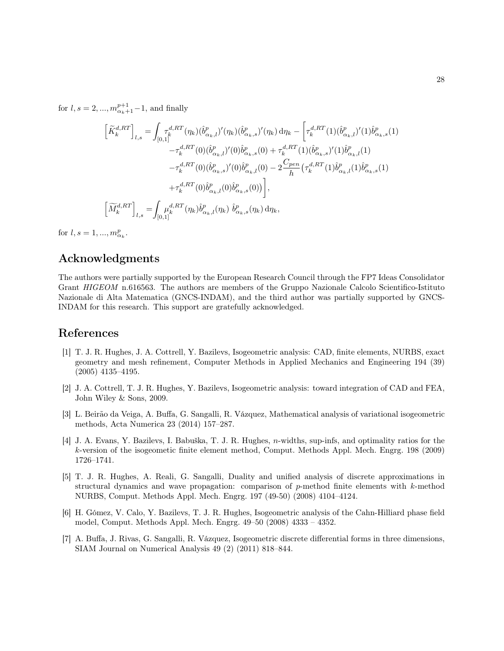for  $l, s = 2, ..., m_{\alpha_k+1}^{p+1} - 1$ , and finally

$$
\begin{split}\n\left[\widetilde{K}_{k}^{d,RT}\right]_{l,s} &= \int_{[0,1]} \tau_{k}^{d,RT}(\eta_{k}) (\widehat{b}_{\alpha_{k},l}^{p})'(\eta_{k}) (\widehat{b}_{\alpha_{k},s}^{p})'(\eta_{k}) \, \mathrm{d}\eta_{k} - \left[\tau_{k}^{d,RT}(1) (\widehat{b}_{\alpha_{k},l}^{p})'(1) \widehat{b}_{\alpha_{k},s}^{p}(1) - \tau_{k}^{d,RT}(0) (\widehat{b}_{\alpha_{k},l}^{p})'(0) \widehat{b}_{\alpha_{k},s}^{p}(0) + \tau_{k}^{d,RT}(1) (\widehat{b}_{\alpha_{k},s}^{p})'(1) \widehat{b}_{\alpha_{k},l}^{p}(1) - \tau_{k}^{d,RT}(0) (\widehat{b}_{\alpha_{k},s}^{p})'(0) \widehat{b}_{\alpha_{k},l}^{p}(0) - 2 \frac{C_{pen}}{h} \left(\tau_{k}^{d,RT}(1) \widehat{b}_{\alpha_{k},l}^{p}(1) \widehat{b}_{\alpha_{k},s}^{p}(1) - \tau_{k}^{d,RT}(0) \widehat{b}_{\alpha_{k},l}^{p}(0) \widehat{b}_{\alpha_{k},l}^{p}(0) \right), \\
& \left[\widetilde{M}_{k}^{d,RT}\right]_{l,s} = \int_{[0,1]} \mu_{k}^{d,RT}(\eta_{k}) \widehat{b}_{\alpha_{k},l}^{p}(\eta_{k}) \ \widehat{b}_{\alpha_{k},s}^{p}(\eta_{k}) \, \mathrm{d}\eta_{k},\n\end{split}
$$

for  $l, s = 1, ..., m_{\alpha_k}^p$ .

## Acknowledgments

The authors were partially supported by the European Research Council through the FP7 Ideas Consolidator Grant HIGEOM n.616563. The authors are members of the Gruppo Nazionale Calcolo Scientifico-Istituto Nazionale di Alta Matematica (GNCS-INDAM), and the third author was partially supported by GNCS-INDAM for this research. This support are gratefully acknowledged.

### References

- [1] T. J. R. Hughes, J. A. Cottrell, Y. Bazilevs, Isogeometric analysis: CAD, finite elements, NURBS, exact geometry and mesh refinement, Computer Methods in Applied Mechanics and Engineering 194 (39) (2005) 4135–4195.
- [2] J. A. Cottrell, T. J. R. Hughes, Y. Bazilevs, Isogeometric analysis: toward integration of CAD and FEA, John Wiley & Sons, 2009.
- [3] L. Beirão da Veiga, A. Buffa, G. Sangalli, R. Vázquez, Mathematical analysis of variational isogeometric methods, Acta Numerica 23 (2014) 157–287.
- [4] J. A. Evans, Y. Bazilevs, I. Babuška, T. J. R. Hughes, n-widths, sup-infs, and optimality ratios for the k-version of the isogeometic finite element method, Comput. Methods Appl. Mech. Engrg. 198 (2009) 1726–1741.
- [5] T. J. R. Hughes, A. Reali, G. Sangalli, Duality and unified analysis of discrete approximations in structural dynamics and wave propagation: comparison of  $p$ -method finite elements with  $k$ -method NURBS, Comput. Methods Appl. Mech. Engrg. 197 (49-50) (2008) 4104–4124.
- [6] H. Gómez, V. Calo, Y. Bazilevs, T. J. R. Hughes, Isogeometric analysis of the Cahn-Hilliard phase field model, Comput. Methods Appl. Mech. Engrg. 49–50 (2008) 4333 – 4352.
- [7] A. Buffa, J. Rivas, G. Sangalli, R. Vázquez, Isogeometric discrete differential forms in three dimensions, SIAM Journal on Numerical Analysis 49 (2) (2011) 818–844.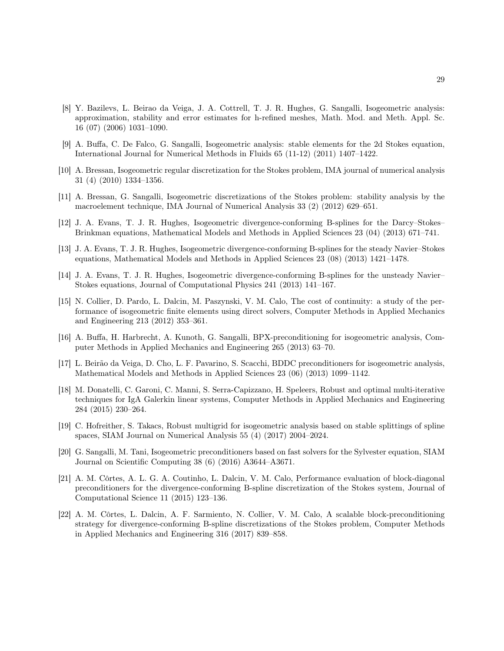- [8] Y. Bazilevs, L. Beirao da Veiga, J. A. Cottrell, T. J. R. Hughes, G. Sangalli, Isogeometric analysis: approximation, stability and error estimates for h-refined meshes, Math. Mod. and Meth. Appl. Sc. 16 (07) (2006) 1031–1090.
- [9] A. Buffa, C. De Falco, G. Sangalli, Isogeometric analysis: stable elements for the 2d Stokes equation, International Journal for Numerical Methods in Fluids 65 (11-12) (2011) 1407–1422.
- [10] A. Bressan, Isogeometric regular discretization for the Stokes problem, IMA journal of numerical analysis 31 (4) (2010) 1334–1356.
- [11] A. Bressan, G. Sangalli, Isogeometric discretizations of the Stokes problem: stability analysis by the macroelement technique, IMA Journal of Numerical Analysis 33 (2) (2012) 629–651.
- [12] J. A. Evans, T. J. R. Hughes, Isogeometric divergence-conforming B-splines for the Darcy–Stokes– Brinkman equations, Mathematical Models and Methods in Applied Sciences 23 (04) (2013) 671–741.
- [13] J. A. Evans, T. J. R. Hughes, Isogeometric divergence-conforming B-splines for the steady Navier–Stokes equations, Mathematical Models and Methods in Applied Sciences 23 (08) (2013) 1421–1478.
- [14] J. A. Evans, T. J. R. Hughes, Isogeometric divergence-conforming B-splines for the unsteady Navier– Stokes equations, Journal of Computational Physics 241 (2013) 141–167.
- [15] N. Collier, D. Pardo, L. Dalcin, M. Paszynski, V. M. Calo, The cost of continuity: a study of the performance of isogeometric finite elements using direct solvers, Computer Methods in Applied Mechanics and Engineering 213 (2012) 353–361.
- [16] A. Buffa, H. Harbrecht, A. Kunoth, G. Sangalli, BPX-preconditioning for isogeometric analysis, Computer Methods in Applied Mechanics and Engineering 265 (2013) 63–70.
- [17] L. Beirão da Veiga, D. Cho, L. F. Pavarino, S. Scacchi, BDDC preconditioners for isogeometric analysis, Mathematical Models and Methods in Applied Sciences 23 (06) (2013) 1099–1142.
- [18] M. Donatelli, C. Garoni, C. Manni, S. Serra-Capizzano, H. Speleers, Robust and optimal multi-iterative techniques for IgA Galerkin linear systems, Computer Methods in Applied Mechanics and Engineering 284 (2015) 230–264.
- [19] C. Hofreither, S. Takacs, Robust multigrid for isogeometric analysis based on stable splittings of spline spaces, SIAM Journal on Numerical Analysis 55 (4) (2017) 2004–2024.
- [20] G. Sangalli, M. Tani, Isogeometric preconditioners based on fast solvers for the Sylvester equation, SIAM Journal on Scientific Computing 38 (6) (2016) A3644–A3671.
- [21] A. M. Côrtes, A. L. G. A. Coutinho, L. Dalcin, V. M. Calo, Performance evaluation of block-diagonal preconditioners for the divergence-conforming B-spline discretization of the Stokes system, Journal of Computational Science 11 (2015) 123–136.
- [22] A. M. Côrtes, L. Dalcin, A. F. Sarmiento, N. Collier, V. M. Calo, A scalable block-preconditioning strategy for divergence-conforming B-spline discretizations of the Stokes problem, Computer Methods in Applied Mechanics and Engineering 316 (2017) 839–858.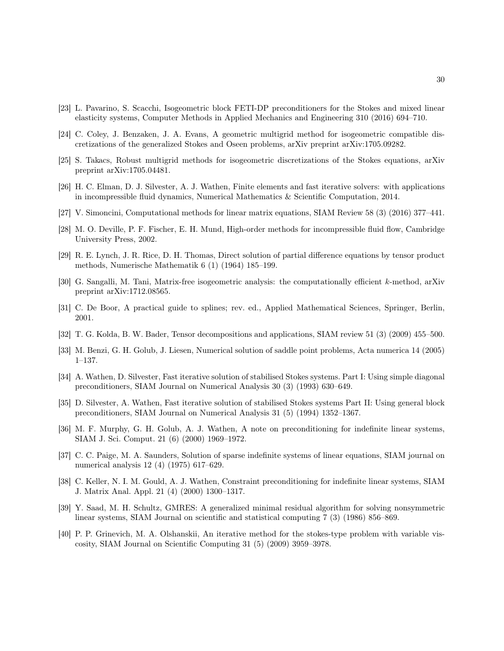- [23] L. Pavarino, S. Scacchi, Isogeometric block FETI-DP preconditioners for the Stokes and mixed linear elasticity systems, Computer Methods in Applied Mechanics and Engineering 310 (2016) 694–710.
- [24] C. Coley, J. Benzaken, J. A. Evans, A geometric multigrid method for isogeometric compatible discretizations of the generalized Stokes and Oseen problems, arXiv preprint arXiv:1705.09282.
- [25] S. Takacs, Robust multigrid methods for isogeometric discretizations of the Stokes equations, arXiv preprint arXiv:1705.04481.
- [26] H. C. Elman, D. J. Silvester, A. J. Wathen, Finite elements and fast iterative solvers: with applications in incompressible fluid dynamics, Numerical Mathematics & Scientific Computation, 2014.
- [27] V. Simoncini, Computational methods for linear matrix equations, SIAM Review 58 (3) (2016) 377–441.
- [28] M. O. Deville, P. F. Fischer, E. H. Mund, High-order methods for incompressible fluid flow, Cambridge University Press, 2002.
- [29] R. E. Lynch, J. R. Rice, D. H. Thomas, Direct solution of partial difference equations by tensor product methods, Numerische Mathematik 6 (1) (1964) 185–199.
- [30] G. Sangalli, M. Tani, Matrix-free isogeometric analysis: the computationally efficient k-method, arXiv preprint arXiv:1712.08565.
- [31] C. De Boor, A practical guide to splines; rev. ed., Applied Mathematical Sciences, Springer, Berlin, 2001.
- [32] T. G. Kolda, B. W. Bader, Tensor decompositions and applications, SIAM review 51 (3) (2009) 455–500.
- [33] M. Benzi, G. H. Golub, J. Liesen, Numerical solution of saddle point problems, Acta numerica 14 (2005) 1–137.
- [34] A. Wathen, D. Silvester, Fast iterative solution of stabilised Stokes systems. Part I: Using simple diagonal preconditioners, SIAM Journal on Numerical Analysis 30 (3) (1993) 630–649.
- [35] D. Silvester, A. Wathen, Fast iterative solution of stabilised Stokes systems Part II: Using general block preconditioners, SIAM Journal on Numerical Analysis 31 (5) (1994) 1352–1367.
- [36] M. F. Murphy, G. H. Golub, A. J. Wathen, A note on preconditioning for indefinite linear systems, SIAM J. Sci. Comput. 21 (6) (2000) 1969–1972.
- [37] C. C. Paige, M. A. Saunders, Solution of sparse indefinite systems of linear equations, SIAM journal on numerical analysis 12 (4) (1975) 617–629.
- [38] C. Keller, N. I. M. Gould, A. J. Wathen, Constraint preconditioning for indefinite linear systems, SIAM J. Matrix Anal. Appl. 21 (4) (2000) 1300–1317.
- [39] Y. Saad, M. H. Schultz, GMRES: A generalized minimal residual algorithm for solving nonsymmetric linear systems, SIAM Journal on scientific and statistical computing 7 (3) (1986) 856–869.
- [40] P. P. Grinevich, M. A. Olshanskii, An iterative method for the stokes-type problem with variable viscosity, SIAM Journal on Scientific Computing 31 (5) (2009) 3959–3978.